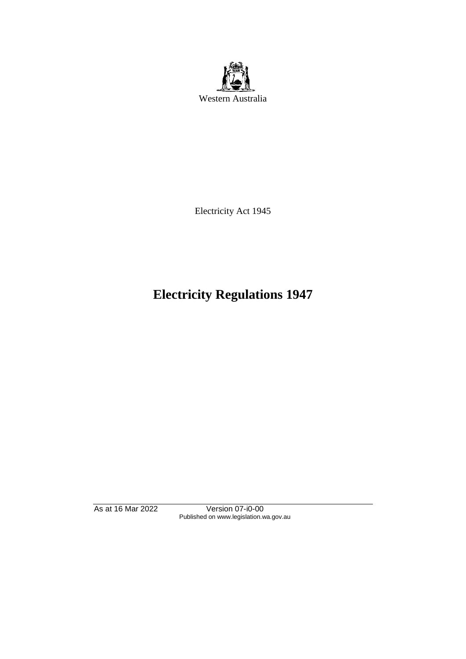

Electricity Act 1945

# **Electricity Regulations 1947**

As at 16 Mar 2022 Version 07-i0-00 Published on www.legislation.wa.gov.au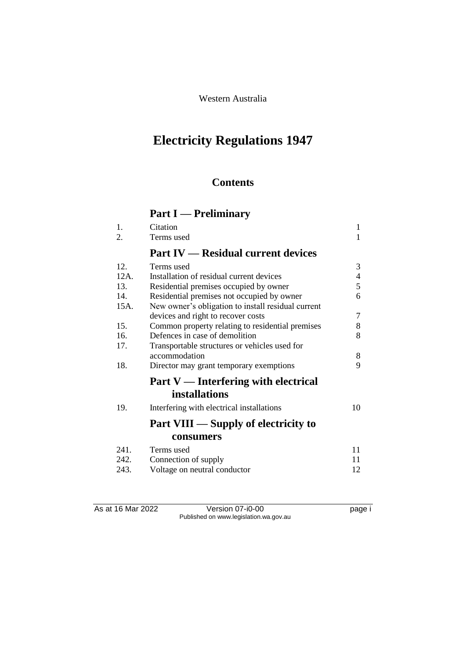Western Australia

# **Electricity Regulations 1947**

# **Contents**

# **Part I — Preliminary**

| 1.      | Citation                                           | 1              |
|---------|----------------------------------------------------|----------------|
| 2.      | Terms used                                         | 1              |
|         | <b>Part IV — Residual current devices</b>          |                |
| 12.     | Terms used                                         | 3              |
| $12A$ . | Installation of residual current devices           | 4              |
| 13.     | Residential premises occupied by owner             | 5              |
| 14.     | Residential premises not occupied by owner         | 6              |
| 15A.    | New owner's obligation to install residual current |                |
|         | devices and right to recover costs                 | $\overline{7}$ |
| 15.     | Common property relating to residential premises   | 8              |
| 16.     | Defences in case of demolition                     | 8              |
| 17.     | Transportable structures or vehicles used for      |                |
|         | accommodation                                      | 8              |
| 18.     | Director may grant temporary exemptions            | 9              |
|         | Part V — Interfering with electrical               |                |
|         | <i>installations</i>                               |                |
| 19.     | Interfering with electrical installations          | 10             |
|         | Part VIII — Supply of electricity to               |                |
|         | consumers                                          |                |
| 241.    | Terms used                                         | 11             |
| 242.    | Connection of supply                               | 11             |
| 243.    | Voltage on neutral conductor                       | 12             |
|         |                                                    |                |

As at 16 Mar 2022 Version 07-i0-00 Page i Published on www.legislation.wa.gov.au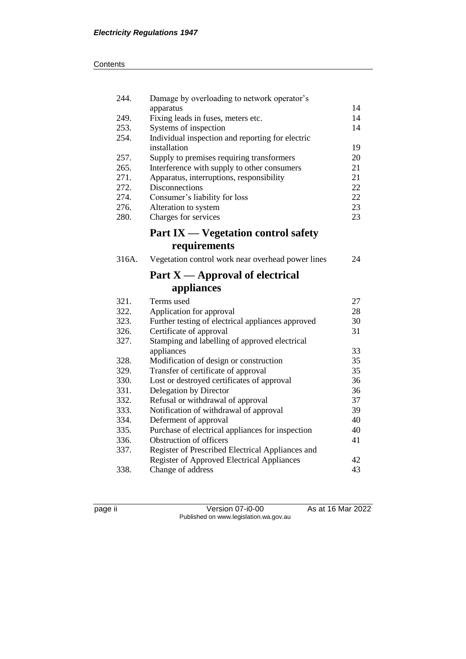| 244.         | Damage by overloading to network operator's                            |          |
|--------------|------------------------------------------------------------------------|----------|
|              | apparatus                                                              | 14       |
| 249.         | Fixing leads in fuses, meters etc.                                     | 14       |
| 253.         | Systems of inspection                                                  | 14       |
| 254.         | Individual inspection and reporting for electric                       |          |
|              | installation                                                           | 19       |
| 257.<br>265. | Supply to premises requiring transformers                              | 20<br>21 |
| 271.         | Interference with supply to other consumers                            | 21       |
| 272.         | Apparatus, interruptions, responsibility<br>Disconnections             | 22       |
| 274.         | Consumer's liability for loss                                          | 22       |
| 276.         | Alteration to system                                                   | 23       |
| 280.         | Charges for services                                                   | 23       |
|              |                                                                        |          |
|              | <b>Part IX — Vegetation control safety</b>                             |          |
|              | requirements                                                           |          |
| 316A.        | Vegetation control work near overhead power lines                      | 24       |
|              | Part $X$ — Approval of electrical                                      |          |
|              | appliances                                                             |          |
| 321.         | Terms used                                                             | 27       |
| 322.         | Application for approval                                               | 28       |
| 323.         | Further testing of electrical appliances approved                      | 30       |
| 326.         | Certificate of approval                                                | 31       |
| 327.         | Stamping and labelling of approved electrical                          |          |
|              |                                                                        |          |
|              | appliances                                                             | 33       |
| 328.         | Modification of design or construction                                 | 35       |
| 329.         | Transfer of certificate of approval                                    | 35       |
| 330.         | Lost or destroyed certificates of approval                             | 36       |
| 331.         | Delegation by Director                                                 | 36       |
| 332.         | Refusal or withdrawal of approval                                      | 37       |
| 333.         | Notification of withdrawal of approval                                 | 39       |
| 334.         | Deferment of approval                                                  | 40       |
| 335.         | Purchase of electrical appliances for inspection                       | 40       |
| 336.         | Obstruction of officers                                                | 41       |
| 337.         | Register of Prescribed Electrical Appliances and                       |          |
| 338.         | <b>Register of Approved Electrical Appliances</b><br>Change of address | 42<br>43 |

page ii Version 07-i0-00 As at 16 Mar 2022 Published on www.legislation.wa.gov.au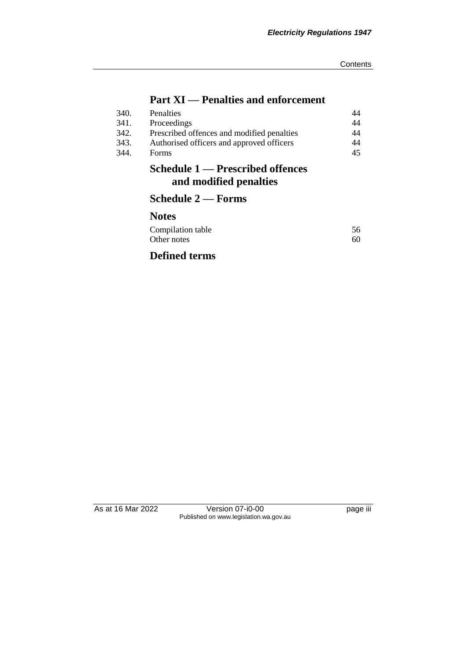# **Part XI — Penalties and enforcement**

|      | Schedule 1 — Prescribed offences<br>and modified penalties |    |
|------|------------------------------------------------------------|----|
| 344. | Forms                                                      | 45 |
| 343. | Authorised officers and approved officers                  | 44 |
| 342. | Prescribed offences and modified penalties                 | 44 |
| 341. | Proceedings                                                | 44 |
| 340. | Penalties                                                  | 44 |
|      |                                                            |    |

# **Schedule 2 — Forms**

# **Notes**

| Compilation table | 56 |
|-------------------|----|
| Other notes       | 60 |

# **Defined terms**

As at 16 Mar 2022 Version 07-i0-00 Page iii Published on www.legislation.wa.gov.au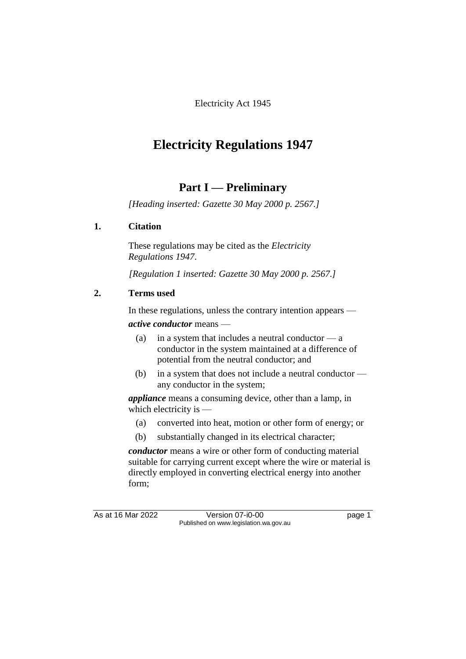Electricity Act 1945

# **Electricity Regulations 1947**

# **Part I — Preliminary**

*[Heading inserted: Gazette 30 May 2000 p. 2567.]*

# **1. Citation**

These regulations may be cited as the *Electricity Regulations 1947*.

*[Regulation 1 inserted: Gazette 30 May 2000 p. 2567.]*

# **2. Terms used**

In these regulations, unless the contrary intention appears —

*active conductor* means —

- (a) in a system that includes a neutral conductor  $-\mathbf{a}$ conductor in the system maintained at a difference of potential from the neutral conductor; and
- (b) in a system that does not include a neutral conductor any conductor in the system;

*appliance* means a consuming device, other than a lamp, in which electricity is —

- (a) converted into heat, motion or other form of energy; or
- (b) substantially changed in its electrical character;

*conductor* means a wire or other form of conducting material suitable for carrying current except where the wire or material is directly employed in converting electrical energy into another form;

As at 16 Mar 2022 Version 07-i0-00 Version 07-in Version 07-i0-00 Published on www.legislation.wa.gov.au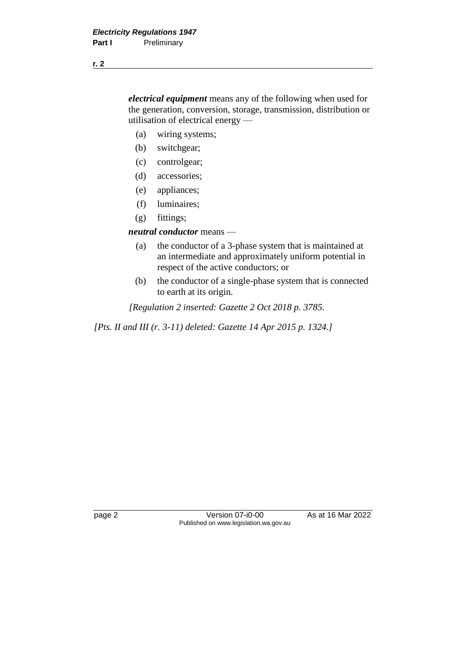*electrical equipment* means any of the following when used for the generation, conversion, storage, transmission, distribution or utilisation of electrical energy —

- (a) wiring systems;
- (b) switchgear;
- (c) controlgear;
- (d) accessories;
- (e) appliances;
- (f) luminaires;
- (g) fittings;

### *neutral conductor* means —

- (a) the conductor of a 3-phase system that is maintained at an intermediate and approximately uniform potential in respect of the active conductors; or
- (b) the conductor of a single-phase system that is connected to earth at its origin.

*[Regulation 2 inserted: Gazette 2 Oct 2018 p. 3785.*

*[Pts. II and III (r. 3-11) deleted: Gazette 14 Apr 2015 p. 1324.]*

page 2 Version 07-i0-00 As at 16 Mar 2022 Published on www.legislation.wa.gov.au

**r. 2**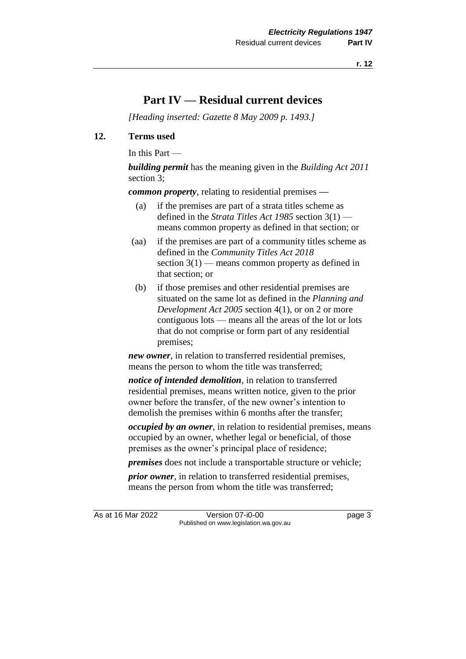# **Part IV — Residual current devices**

*[Heading inserted: Gazette 8 May 2009 p. 1493.]*

### **12. Terms used**

In this Part —

*building permit* has the meaning given in the *Building Act 2011* section 3;

*common property*, relating to residential premises **—**

- (a) if the premises are part of a strata titles scheme as defined in the *Strata Titles Act 1985* section 3(1) means common property as defined in that section; or
- (aa) if the premises are part of a community titles scheme as defined in the *Community Titles Act 2018* section  $3(1)$  — means common property as defined in that section; or
- (b) if those premises and other residential premises are situated on the same lot as defined in the *Planning and Development Act 2005* section 4(1), or on 2 or more contiguous lots — means all the areas of the lot or lots that do not comprise or form part of any residential premises;

*new owner*, in relation to transferred residential premises, means the person to whom the title was transferred;

*notice of intended demolition*, in relation to transferred residential premises, means written notice, given to the prior owner before the transfer, of the new owner's intention to demolish the premises within 6 months after the transfer;

*occupied by an owner*, in relation to residential premises, means occupied by an owner, whether legal or beneficial, of those premises as the owner's principal place of residence;

*premises* does not include a transportable structure or vehicle;

*prior owner*, in relation to transferred residential premises, means the person from whom the title was transferred;

As at 16 Mar 2022 Version 07-i0-00 Version 07-in Version 07-i0-00 Published on www.legislation.wa.gov.au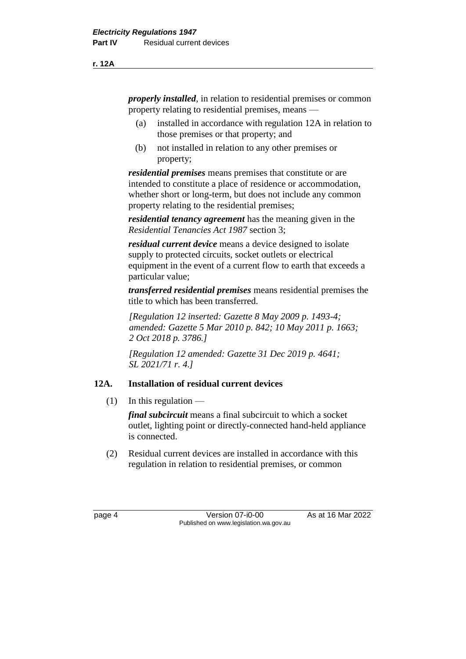*properly installed*, in relation to residential premises or common property relating to residential premises, means —

- (a) installed in accordance with regulation 12A in relation to those premises or that property; and
- (b) not installed in relation to any other premises or property;

*residential premises* means premises that constitute or are intended to constitute a place of residence or accommodation, whether short or long-term, but does not include any common property relating to the residential premises;

*residential tenancy agreement* has the meaning given in the *Residential Tenancies Act 1987* section 3;

*residual current device* means a device designed to isolate supply to protected circuits, socket outlets or electrical equipment in the event of a current flow to earth that exceeds a particular value;

*transferred residential premises* means residential premises the title to which has been transferred.

*[Regulation 12 inserted: Gazette 8 May 2009 p. 1493-4; amended: Gazette 5 Mar 2010 p. 842; 10 May 2011 p. 1663; 2 Oct 2018 p. 3786.]*

*[Regulation 12 amended: Gazette 31 Dec 2019 p. 4641; SL 2021/71 r. 4.]*

# **12A. Installation of residual current devices**

 $(1)$  In this regulation —

*final subcircuit* means a final subcircuit to which a socket outlet, lighting point or directly-connected hand-held appliance is connected.

(2) Residual current devices are installed in accordance with this regulation in relation to residential premises, or common

page 4 Version 07-i0-00 As at 16 Mar 2022 Published on www.legislation.wa.gov.au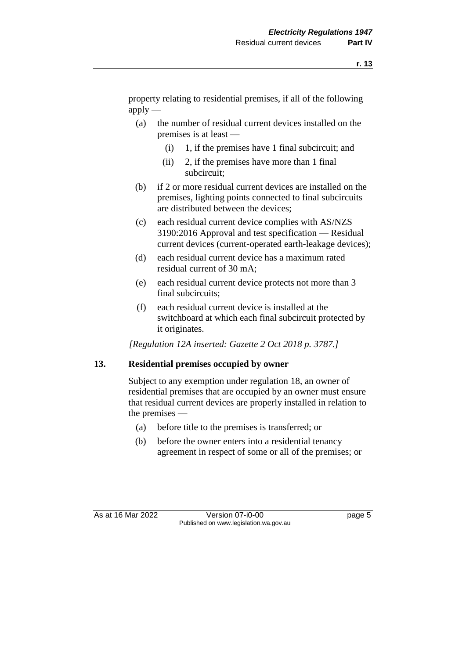property relating to residential premises, if all of the following  $apply$  —

- (a) the number of residual current devices installed on the premises is at least —
	- $(i)$  1, if the premises have 1 final subcircuit; and
	- (ii) 2, if the premises have more than 1 final subcircuit;
- (b) if 2 or more residual current devices are installed on the premises, lighting points connected to final subcircuits are distributed between the devices;
- (c) each residual current device complies with AS/NZS 3190:2016 Approval and test specification — Residual current devices (current-operated earth-leakage devices);
- (d) each residual current device has a maximum rated residual current of 30 mA;
- (e) each residual current device protects not more than 3 final subcircuits;
- (f) each residual current device is installed at the switchboard at which each final subcircuit protected by it originates.

*[Regulation 12A inserted: Gazette 2 Oct 2018 p. 3787.]*

### **13. Residential premises occupied by owner**

Subject to any exemption under regulation 18, an owner of residential premises that are occupied by an owner must ensure that residual current devices are properly installed in relation to the premises —

- (a) before title to the premises is transferred; or
- (b) before the owner enters into a residential tenancy agreement in respect of some or all of the premises; or

As at 16 Mar 2022 Version 07-i0-00 Published on www.legislation.wa.gov.au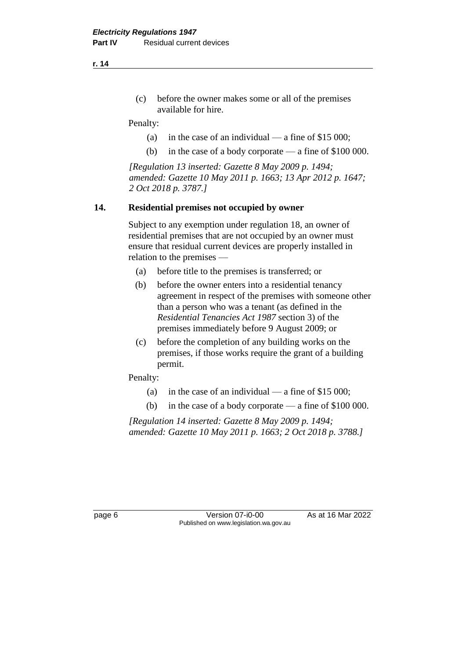(c) before the owner makes some or all of the premises available for hire.

Penalty:

- (a) in the case of an individual a fine of  $$15,000$ ;
- (b) in the case of a body corporate a fine of \$100 000.

*[Regulation 13 inserted: Gazette 8 May 2009 p. 1494; amended: Gazette 10 May 2011 p. 1663; 13 Apr 2012 p. 1647; 2 Oct 2018 p. 3787.]*

### **14. Residential premises not occupied by owner**

Subject to any exemption under regulation 18, an owner of residential premises that are not occupied by an owner must ensure that residual current devices are properly installed in relation to the premises —

- (a) before title to the premises is transferred; or
- (b) before the owner enters into a residential tenancy agreement in respect of the premises with someone other than a person who was a tenant (as defined in the *Residential Tenancies Act 1987* section 3) of the premises immediately before 9 August 2009; or
- (c) before the completion of any building works on the premises, if those works require the grant of a building permit.

Penalty:

- (a) in the case of an individual a fine of  $$15\,000$ ;
- (b) in the case of a body corporate a fine of \$100 000.

*[Regulation 14 inserted: Gazette 8 May 2009 p. 1494; amended: Gazette 10 May 2011 p. 1663; 2 Oct 2018 p. 3788.]*

page 6 **Version 07-i0-00** As at 16 Mar 2022 Published on www.legislation.wa.gov.au

**r. 14**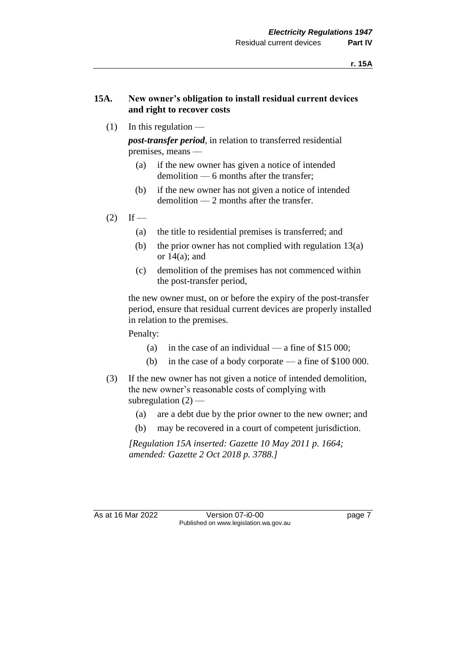### **15A. New owner's obligation to install residual current devices and right to recover costs**

 $(1)$  In this regulation —

*post-transfer period*, in relation to transferred residential premises, means —

- (a) if the new owner has given a notice of intended demolition — 6 months after the transfer;
- (b) if the new owner has not given a notice of intended demolition — 2 months after the transfer.
- $(2)$  If
	- (a) the title to residential premises is transferred; and
	- (b) the prior owner has not complied with regulation  $13(a)$ or  $14(a)$ ; and
	- (c) demolition of the premises has not commenced within the post-transfer period,

the new owner must, on or before the expiry of the post-transfer period, ensure that residual current devices are properly installed in relation to the premises.

Penalty:

- (a) in the case of an individual a fine of  $$15\,000$ ;
- (b) in the case of a body corporate a fine of \$100 000.
- (3) If the new owner has not given a notice of intended demolition, the new owner's reasonable costs of complying with subregulation  $(2)$  —
	- (a) are a debt due by the prior owner to the new owner; and
	- (b) may be recovered in a court of competent jurisdiction.

*[Regulation 15A inserted: Gazette 10 May 2011 p. 1664; amended: Gazette 2 Oct 2018 p. 3788.]*

As at 16 Mar 2022 Version 07-i0-00 Version 07-in Page 7 Published on www.legislation.wa.gov.au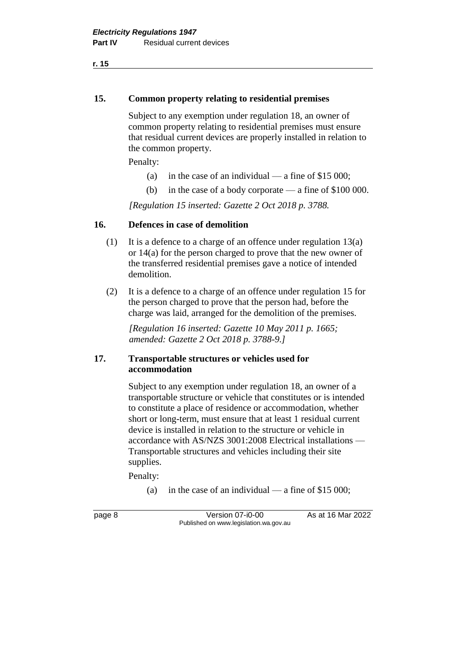### **15. Common property relating to residential premises**

Subject to any exemption under regulation 18, an owner of common property relating to residential premises must ensure that residual current devices are properly installed in relation to the common property.

Penalty:

- (a) in the case of an individual a fine of  $$15,000$ ;
- (b) in the case of a body corporate a fine of \$100 000.

*[Regulation 15 inserted: Gazette 2 Oct 2018 p. 3788.*

### **16. Defences in case of demolition**

- (1) It is a defence to a charge of an offence under regulation 13(a) or 14(a) for the person charged to prove that the new owner of the transferred residential premises gave a notice of intended demolition.
- (2) It is a defence to a charge of an offence under regulation 15 for the person charged to prove that the person had, before the charge was laid, arranged for the demolition of the premises.

*[Regulation 16 inserted: Gazette 10 May 2011 p. 1665; amended: Gazette 2 Oct 2018 p. 3788-9.]*

### **17. Transportable structures or vehicles used for accommodation**

Subject to any exemption under regulation 18, an owner of a transportable structure or vehicle that constitutes or is intended to constitute a place of residence or accommodation, whether short or long-term, must ensure that at least 1 residual current device is installed in relation to the structure or vehicle in accordance with AS/NZS 3001:2008 Electrical installations — Transportable structures and vehicles including their site supplies.

Penalty:

(a) in the case of an individual — a fine of  $$15\,000$ ;

page 8 Version 07-i0-00 As at 16 Mar 2022 Published on www.legislation.wa.gov.au

**r. 15**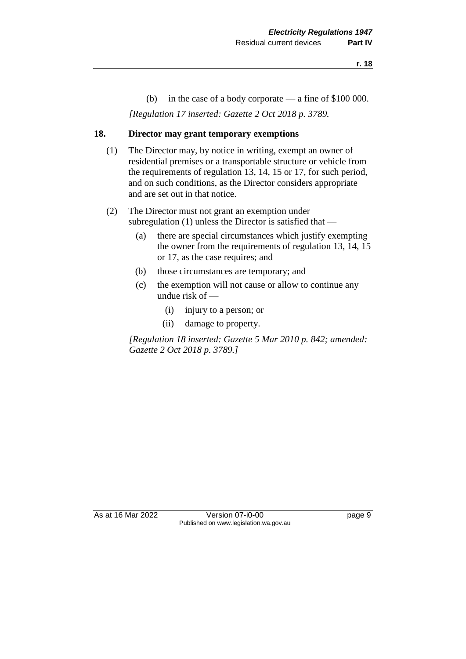(b) in the case of a body corporate — a fine of \$100 000.

*[Regulation 17 inserted: Gazette 2 Oct 2018 p. 3789.*

### **18. Director may grant temporary exemptions**

- (1) The Director may, by notice in writing, exempt an owner of residential premises or a transportable structure or vehicle from the requirements of regulation 13, 14, 15 or 17, for such period, and on such conditions, as the Director considers appropriate and are set out in that notice.
- (2) The Director must not grant an exemption under subregulation (1) unless the Director is satisfied that —
	- (a) there are special circumstances which justify exempting the owner from the requirements of regulation 13, 14, 15 or 17, as the case requires; and
	- (b) those circumstances are temporary; and
	- (c) the exemption will not cause or allow to continue any undue risk of —
		- (i) injury to a person; or
		- (ii) damage to property.

*[Regulation 18 inserted: Gazette 5 Mar 2010 p. 842; amended: Gazette 2 Oct 2018 p. 3789.]*

As at 16 Mar 2022 Version 07-i0-00 Published on www.legislation.wa.gov.au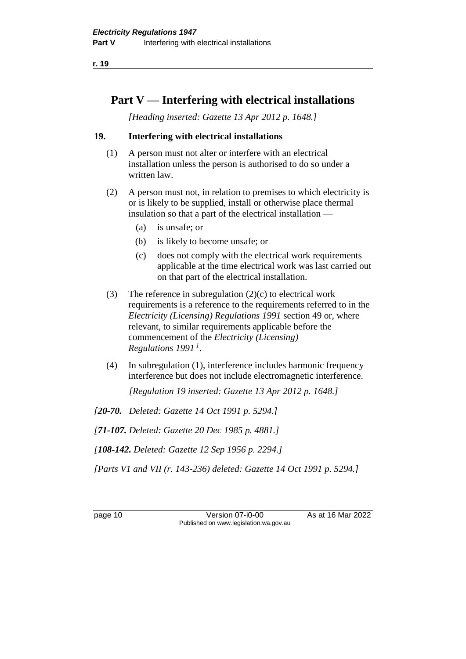# **Part V — Interfering with electrical installations**

*[Heading inserted: Gazette 13 Apr 2012 p. 1648.]*

### **19. Interfering with electrical installations**

- (1) A person must not alter or interfere with an electrical installation unless the person is authorised to do so under a written law.
- (2) A person must not, in relation to premises to which electricity is or is likely to be supplied, install or otherwise place thermal insulation so that a part of the electrical installation —
	- (a) is unsafe; or
	- (b) is likely to become unsafe; or
	- (c) does not comply with the electrical work requirements applicable at the time electrical work was last carried out on that part of the electrical installation.
- (3) The reference in subregulation  $(2)(c)$  to electrical work requirements is a reference to the requirements referred to in the *Electricity (Licensing) Regulations 1991* section 49 or, where relevant, to similar requirements applicable before the commencement of the *Electricity (Licensing) Regulations 1991 <sup>1</sup>* .
- (4) In subregulation (1), interference includes harmonic frequency interference but does not include electromagnetic interference.

*[Regulation 19 inserted: Gazette 13 Apr 2012 p. 1648.]*

*[20-70. Deleted: Gazette 14 Oct 1991 p. 5294.]*

*[71-107. Deleted: Gazette 20 Dec 1985 p. 4881.]*

*[108-142. Deleted: Gazette 12 Sep 1956 p. 2294.]*

*[Parts V1 and VII (r. 143-236) deleted: Gazette 14 Oct 1991 p. 5294.]*

page 10 Version 07-i0-00 As at 16 Mar 2022 Published on www.legislation.wa.gov.au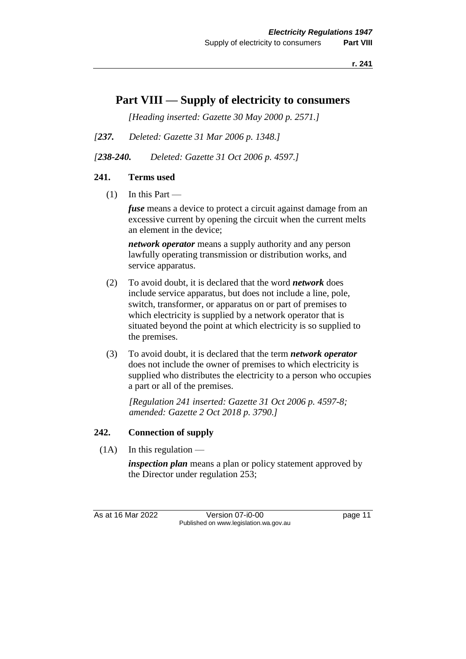# **Part VIII — Supply of electricity to consumers**

*[Heading inserted: Gazette 30 May 2000 p. 2571.]*

- *[237. Deleted: Gazette 31 Mar 2006 p. 1348.]*
- *[238-240. Deleted: Gazette 31 Oct 2006 p. 4597.]*

# **241. Terms used**

 $(1)$  In this Part —

*fuse* means a device to protect a circuit against damage from an excessive current by opening the circuit when the current melts an element in the device;

*network operator* means a supply authority and any person lawfully operating transmission or distribution works, and service apparatus.

- (2) To avoid doubt, it is declared that the word *network* does include service apparatus, but does not include a line, pole, switch, transformer, or apparatus on or part of premises to which electricity is supplied by a network operator that is situated beyond the point at which electricity is so supplied to the premises.
- (3) To avoid doubt, it is declared that the term *network operator* does not include the owner of premises to which electricity is supplied who distributes the electricity to a person who occupies a part or all of the premises.

*[Regulation 241 inserted: Gazette 31 Oct 2006 p. 4597-8; amended: Gazette 2 Oct 2018 p. 3790.]*

### **242. Connection of supply**

 $(1A)$  In this regulation —

*inspection plan* means a plan or policy statement approved by the Director under regulation 253;

As at 16 Mar 2022 Version 07-i0-00 page 11 Published on www.legislation.wa.gov.au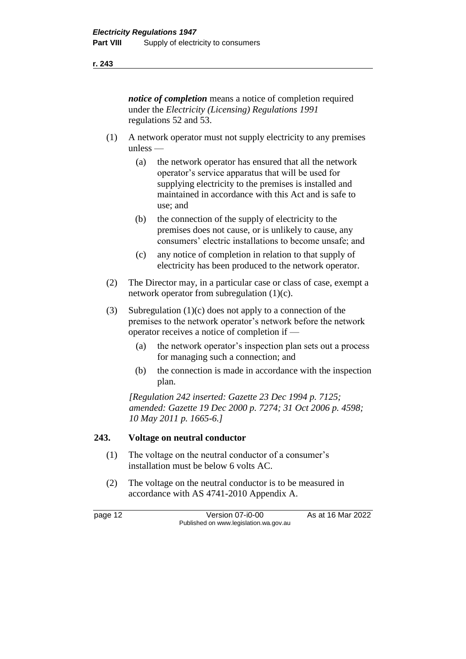*notice of completion* means a notice of completion required under the *Electricity (Licensing) Regulations 1991* regulations 52 and 53.

- (1) A network operator must not supply electricity to any premises unless —
	- (a) the network operator has ensured that all the network operator's service apparatus that will be used for supplying electricity to the premises is installed and maintained in accordance with this Act and is safe to use; and
	- (b) the connection of the supply of electricity to the premises does not cause, or is unlikely to cause, any consumers' electric installations to become unsafe; and
	- (c) any notice of completion in relation to that supply of electricity has been produced to the network operator.
- (2) The Director may, in a particular case or class of case, exempt a network operator from subregulation (1)(c).
- (3) Subregulation (1)(c) does not apply to a connection of the premises to the network operator's network before the network operator receives a notice of completion if —
	- (a) the network operator's inspection plan sets out a process for managing such a connection; and
	- (b) the connection is made in accordance with the inspection plan.

*[Regulation 242 inserted: Gazette 23 Dec 1994 p. 7125; amended: Gazette 19 Dec 2000 p. 7274; 31 Oct 2006 p. 4598; 10 May 2011 p. 1665-6.]*

### **243. Voltage on neutral conductor**

- (1) The voltage on the neutral conductor of a consumer's installation must be below 6 volts AC.
- (2) The voltage on the neutral conductor is to be measured in accordance with AS 4741-2010 Appendix A.

page 12 Version 07-i0-00 As at 16 Mar 2022 Published on www.legislation.wa.gov.au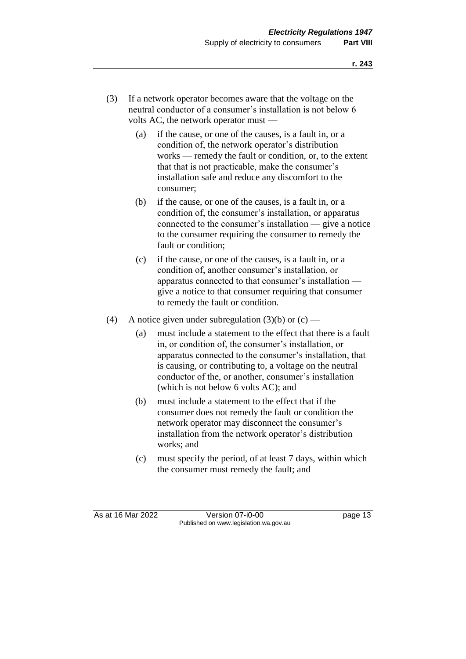- (3) If a network operator becomes aware that the voltage on the neutral conductor of a consumer's installation is not below 6 volts AC, the network operator must —
	- (a) if the cause, or one of the causes, is a fault in, or a condition of, the network operator's distribution works — remedy the fault or condition, or, to the extent that that is not practicable, make the consumer's installation safe and reduce any discomfort to the consumer;
	- (b) if the cause, or one of the causes, is a fault in, or a condition of, the consumer's installation, or apparatus connected to the consumer's installation — give a notice to the consumer requiring the consumer to remedy the fault or condition;
	- (c) if the cause, or one of the causes, is a fault in, or a condition of, another consumer's installation, or apparatus connected to that consumer's installation give a notice to that consumer requiring that consumer to remedy the fault or condition.
- (4) A notice given under subregulation  $(3)(b)$  or  $(c)$ 
	- (a) must include a statement to the effect that there is a fault in, or condition of, the consumer's installation, or apparatus connected to the consumer's installation, that is causing, or contributing to, a voltage on the neutral conductor of the, or another, consumer's installation (which is not below 6 volts AC); and
	- (b) must include a statement to the effect that if the consumer does not remedy the fault or condition the network operator may disconnect the consumer's installation from the network operator's distribution works; and
	- (c) must specify the period, of at least 7 days, within which the consumer must remedy the fault; and

As at 16 Mar 2022 Version 07-i0-00 page 13 Published on www.legislation.wa.gov.au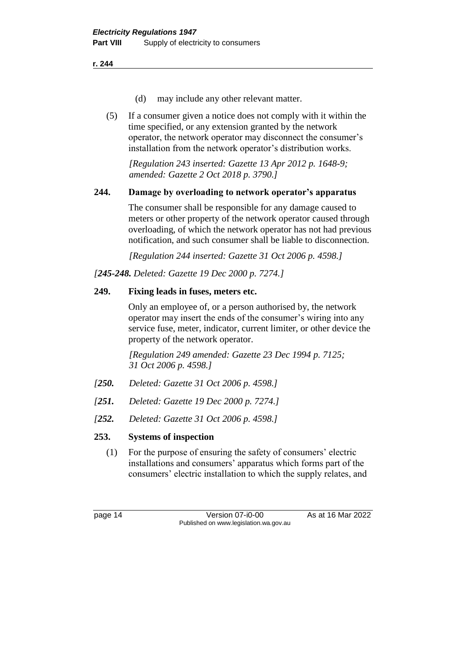- (d) may include any other relevant matter.
- (5) If a consumer given a notice does not comply with it within the time specified, or any extension granted by the network operator, the network operator may disconnect the consumer's installation from the network operator's distribution works.

*[Regulation 243 inserted: Gazette 13 Apr 2012 p. 1648-9; amended: Gazette 2 Oct 2018 p. 3790.]*

### **244. Damage by overloading to network operator's apparatus**

The consumer shall be responsible for any damage caused to meters or other property of the network operator caused through overloading, of which the network operator has not had previous notification, and such consumer shall be liable to disconnection.

*[Regulation 244 inserted: Gazette 31 Oct 2006 p. 4598.]*

*[245-248. Deleted: Gazette 19 Dec 2000 p. 7274.]*

### **249. Fixing leads in fuses, meters etc.**

Only an employee of, or a person authorised by, the network operator may insert the ends of the consumer's wiring into any service fuse, meter, indicator, current limiter, or other device the property of the network operator.

*[Regulation 249 amended: Gazette 23 Dec 1994 p. 7125; 31 Oct 2006 p. 4598.]*

- *[250. Deleted: Gazette 31 Oct 2006 p. 4598.]*
- *[251. Deleted: Gazette 19 Dec 2000 p. 7274.]*
- *[252. Deleted: Gazette 31 Oct 2006 p. 4598.]*

### **253. Systems of inspection**

(1) For the purpose of ensuring the safety of consumers' electric installations and consumers' apparatus which forms part of the consumers' electric installation to which the supply relates, and

page 14 Version 07-i0-00 As at 16 Mar 2022 Published on www.legislation.wa.gov.au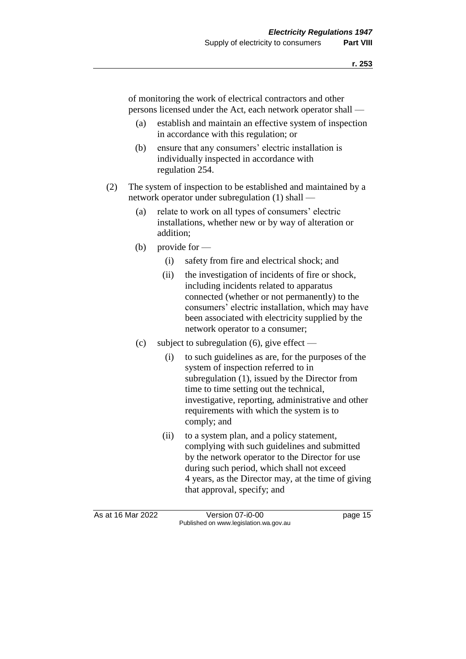of monitoring the work of electrical contractors and other persons licensed under the Act, each network operator shall —

- (a) establish and maintain an effective system of inspection in accordance with this regulation; or
- (b) ensure that any consumers' electric installation is individually inspected in accordance with regulation 254.
- (2) The system of inspection to be established and maintained by a network operator under subregulation (1) shall —
	- (a) relate to work on all types of consumers' electric installations, whether new or by way of alteration or addition;
	- (b) provide for  $-$ 
		- (i) safety from fire and electrical shock; and
		- (ii) the investigation of incidents of fire or shock, including incidents related to apparatus connected (whether or not permanently) to the consumers' electric installation, which may have been associated with electricity supplied by the network operator to a consumer;
	- (c) subject to subregulation (6), give effect
		- (i) to such guidelines as are, for the purposes of the system of inspection referred to in subregulation (1), issued by the Director from time to time setting out the technical, investigative, reporting, administrative and other requirements with which the system is to comply; and
		- (ii) to a system plan, and a policy statement, complying with such guidelines and submitted by the network operator to the Director for use during such period, which shall not exceed 4 years, as the Director may, at the time of giving that approval, specify; and

As at 16 Mar 2022 Version 07-i0-00 page 15 Published on www.legislation.wa.gov.au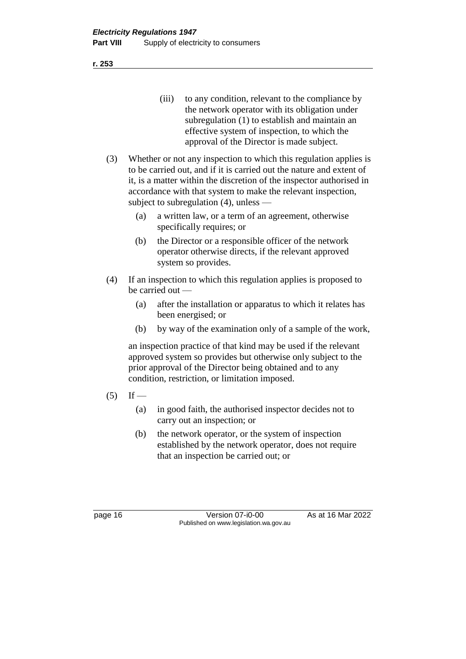(iii) to any condition, relevant to the compliance by the network operator with its obligation under subregulation (1) to establish and maintain an effective system of inspection, to which the approval of the Director is made subject.

- (3) Whether or not any inspection to which this regulation applies is to be carried out, and if it is carried out the nature and extent of it, is a matter within the discretion of the inspector authorised in accordance with that system to make the relevant inspection, subject to subregulation (4), unless —
	- (a) a written law, or a term of an agreement, otherwise specifically requires; or
	- (b) the Director or a responsible officer of the network operator otherwise directs, if the relevant approved system so provides.
- (4) If an inspection to which this regulation applies is proposed to be carried out —
	- (a) after the installation or apparatus to which it relates has been energised; or
	- (b) by way of the examination only of a sample of the work,

an inspection practice of that kind may be used if the relevant approved system so provides but otherwise only subject to the prior approval of the Director being obtained and to any condition, restriction, or limitation imposed.

- $(5)$  If
	- (a) in good faith, the authorised inspector decides not to carry out an inspection; or
	- (b) the network operator, or the system of inspection established by the network operator, does not require that an inspection be carried out; or

page 16 Version 07-i0-00 As at 16 Mar 2022 Published on www.legislation.wa.gov.au

**r. 253**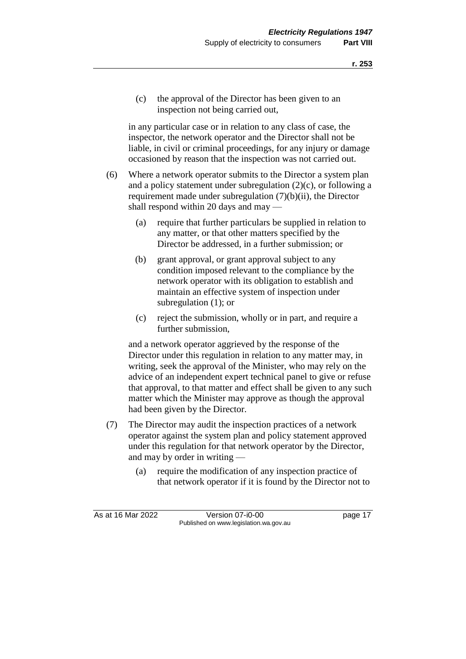(c) the approval of the Director has been given to an inspection not being carried out,

in any particular case or in relation to any class of case, the inspector, the network operator and the Director shall not be liable, in civil or criminal proceedings, for any injury or damage occasioned by reason that the inspection was not carried out.

- (6) Where a network operator submits to the Director a system plan and a policy statement under subregulation (2)(c), or following a requirement made under subregulation (7)(b)(ii), the Director shall respond within 20 days and may —
	- (a) require that further particulars be supplied in relation to any matter, or that other matters specified by the Director be addressed, in a further submission; or
	- (b) grant approval, or grant approval subject to any condition imposed relevant to the compliance by the network operator with its obligation to establish and maintain an effective system of inspection under subregulation (1); or
	- (c) reject the submission, wholly or in part, and require a further submission,

and a network operator aggrieved by the response of the Director under this regulation in relation to any matter may, in writing, seek the approval of the Minister, who may rely on the advice of an independent expert technical panel to give or refuse that approval, to that matter and effect shall be given to any such matter which the Minister may approve as though the approval had been given by the Director.

- (7) The Director may audit the inspection practices of a network operator against the system plan and policy statement approved under this regulation for that network operator by the Director, and may by order in writing —
	- (a) require the modification of any inspection practice of that network operator if it is found by the Director not to

As at 16 Mar 2022 Version 07-i0-00 page 17 Published on www.legislation.wa.gov.au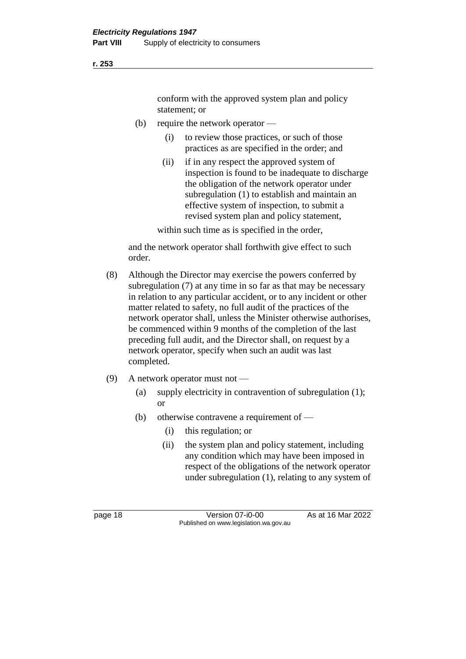conform with the approved system plan and policy statement; or

- (b) require the network operator
	- (i) to review those practices, or such of those practices as are specified in the order; and
	- (ii) if in any respect the approved system of inspection is found to be inadequate to discharge the obligation of the network operator under subregulation (1) to establish and maintain an effective system of inspection, to submit a revised system plan and policy statement,

within such time as is specified in the order,

and the network operator shall forthwith give effect to such order.

- (8) Although the Director may exercise the powers conferred by subregulation (7) at any time in so far as that may be necessary in relation to any particular accident, or to any incident or other matter related to safety, no full audit of the practices of the network operator shall, unless the Minister otherwise authorises, be commenced within 9 months of the completion of the last preceding full audit, and the Director shall, on request by a network operator, specify when such an audit was last completed.
- (9) A network operator must not
	- (a) supply electricity in contravention of subregulation (1); or
	- (b) otherwise contravene a requirement of  $-$ 
		- (i) this regulation; or
		- (ii) the system plan and policy statement, including any condition which may have been imposed in respect of the obligations of the network operator under subregulation (1), relating to any system of

**r. 253**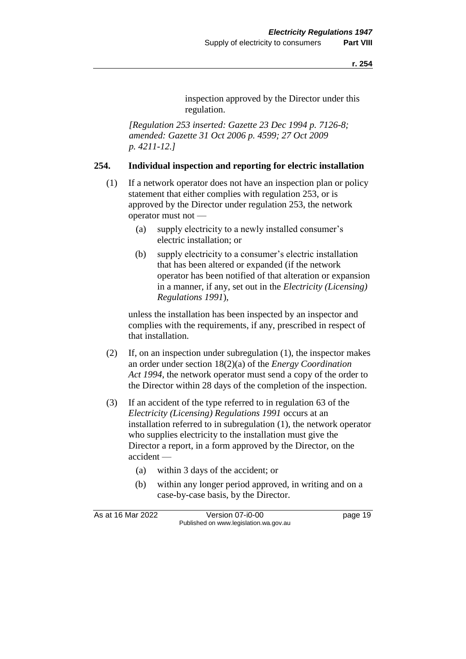inspection approved by the Director under this regulation.

*[Regulation 253 inserted: Gazette 23 Dec 1994 p. 7126-8; amended: Gazette 31 Oct 2006 p. 4599; 27 Oct 2009 p. 4211-12.]*

### **254. Individual inspection and reporting for electric installation**

- (1) If a network operator does not have an inspection plan or policy statement that either complies with regulation 253, or is approved by the Director under regulation 253, the network operator must not —
	- (a) supply electricity to a newly installed consumer's electric installation; or
	- (b) supply electricity to a consumer's electric installation that has been altered or expanded (if the network operator has been notified of that alteration or expansion in a manner, if any, set out in the *Electricity (Licensing) Regulations 1991*),

unless the installation has been inspected by an inspector and complies with the requirements, if any, prescribed in respect of that installation.

- (2) If, on an inspection under subregulation (1), the inspector makes an order under section 18(2)(a) of the *Energy Coordination Act 1994*, the network operator must send a copy of the order to the Director within 28 days of the completion of the inspection.
- (3) If an accident of the type referred to in regulation 63 of the *Electricity (Licensing) Regulations 1991* occurs at an installation referred to in subregulation (1), the network operator who supplies electricity to the installation must give the Director a report, in a form approved by the Director, on the accident —
	- (a) within 3 days of the accident; or
	- (b) within any longer period approved, in writing and on a case-by-case basis, by the Director.

As at 16 Mar 2022 Version 07-i0-00 page 19 Published on www.legislation.wa.gov.au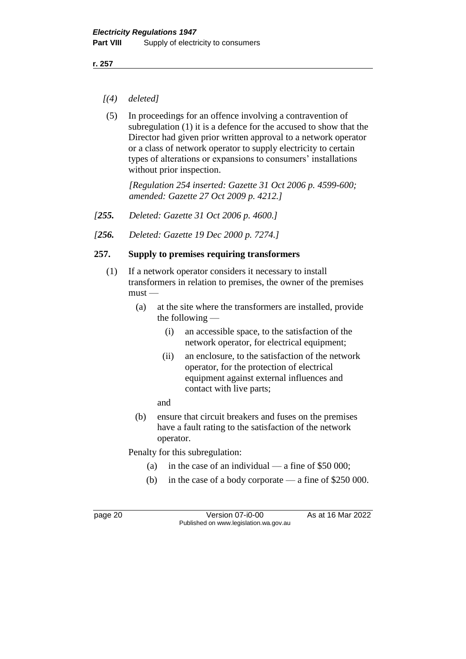- *[(4) deleted]*
- (5) In proceedings for an offence involving a contravention of subregulation (1) it is a defence for the accused to show that the Director had given prior written approval to a network operator or a class of network operator to supply electricity to certain types of alterations or expansions to consumers' installations without prior inspection.

*[Regulation 254 inserted: Gazette 31 Oct 2006 p. 4599-600; amended: Gazette 27 Oct 2009 p. 4212.]*

- *[255. Deleted: Gazette 31 Oct 2006 p. 4600.]*
- *[256. Deleted: Gazette 19 Dec 2000 p. 7274.]*

### **257. Supply to premises requiring transformers**

- (1) If a network operator considers it necessary to install transformers in relation to premises, the owner of the premises  $must -$ 
	- (a) at the site where the transformers are installed, provide the following  $-$ 
		- (i) an accessible space, to the satisfaction of the network operator, for electrical equipment;
		- (ii) an enclosure, to the satisfaction of the network operator, for the protection of electrical equipment against external influences and contact with live parts;
		- and
	- (b) ensure that circuit breakers and fuses on the premises have a fault rating to the satisfaction of the network operator.

Penalty for this subregulation:

- (a) in the case of an individual a fine of  $$50,000$ ;
- (b) in the case of a body corporate a fine of \$250 000.

page 20 Version 07-i0-00 As at 16 Mar 2022 Published on www.legislation.wa.gov.au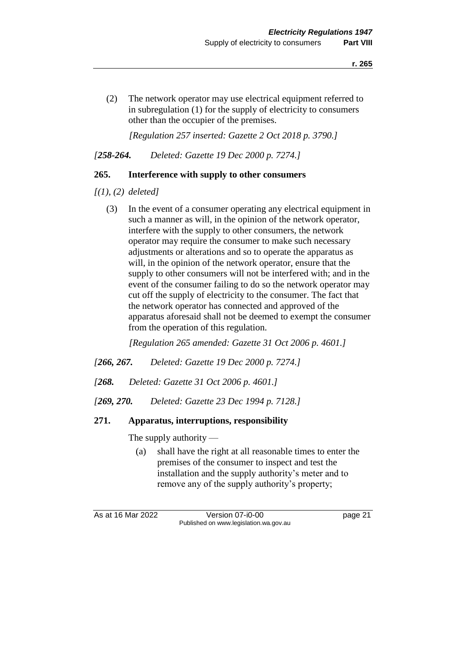(2) The network operator may use electrical equipment referred to in subregulation (1) for the supply of electricity to consumers other than the occupier of the premises.

*[Regulation 257 inserted: Gazette 2 Oct 2018 p. 3790.]*

*[258-264. Deleted: Gazette 19 Dec 2000 p. 7274.]*

### **265. Interference with supply to other consumers**

*[(1), (2) deleted]*

(3) In the event of a consumer operating any electrical equipment in such a manner as will, in the opinion of the network operator, interfere with the supply to other consumers, the network operator may require the consumer to make such necessary adjustments or alterations and so to operate the apparatus as will, in the opinion of the network operator, ensure that the supply to other consumers will not be interfered with; and in the event of the consumer failing to do so the network operator may cut off the supply of electricity to the consumer. The fact that the network operator has connected and approved of the apparatus aforesaid shall not be deemed to exempt the consumer from the operation of this regulation.

*[Regulation 265 amended: Gazette 31 Oct 2006 p. 4601.]*

- *[266, 267. Deleted: Gazette 19 Dec 2000 p. 7274.]*
- *[268. Deleted: Gazette 31 Oct 2006 p. 4601.]*
- *[269, 270. Deleted: Gazette 23 Dec 1994 p. 7128.]*

### **271. Apparatus, interruptions, responsibility**

The supply authority —

(a) shall have the right at all reasonable times to enter the premises of the consumer to inspect and test the installation and the supply authority's meter and to remove any of the supply authority's property;

As at 16 Mar 2022 Version 07-i0-00 page 21 Published on www.legislation.wa.gov.au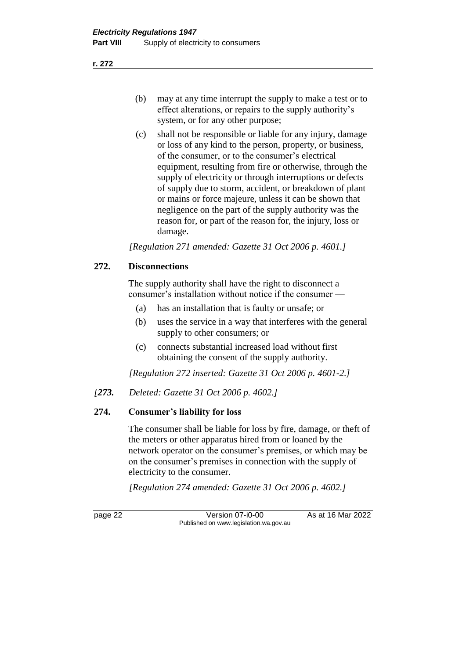- (b) may at any time interrupt the supply to make a test or to effect alterations, or repairs to the supply authority's system, or for any other purpose;
- (c) shall not be responsible or liable for any injury, damage or loss of any kind to the person, property, or business, of the consumer, or to the consumer's electrical equipment, resulting from fire or otherwise, through the supply of electricity or through interruptions or defects of supply due to storm, accident, or breakdown of plant or mains or force majeure, unless it can be shown that negligence on the part of the supply authority was the reason for, or part of the reason for, the injury, loss or damage.

*[Regulation 271 amended: Gazette 31 Oct 2006 p. 4601.]*

### **272. Disconnections**

The supply authority shall have the right to disconnect a consumer's installation without notice if the consumer —

- (a) has an installation that is faulty or unsafe; or
- (b) uses the service in a way that interferes with the general supply to other consumers; or
- (c) connects substantial increased load without first obtaining the consent of the supply authority.

*[Regulation 272 inserted: Gazette 31 Oct 2006 p. 4601-2.]*

*[273. Deleted: Gazette 31 Oct 2006 p. 4602.]*

### **274. Consumer's liability for loss**

The consumer shall be liable for loss by fire, damage, or theft of the meters or other apparatus hired from or loaned by the network operator on the consumer's premises, or which may be on the consumer's premises in connection with the supply of electricity to the consumer.

*[Regulation 274 amended: Gazette 31 Oct 2006 p. 4602.]*

page 22 Version 07-i0-00 As at 16 Mar 2022 Published on www.legislation.wa.gov.au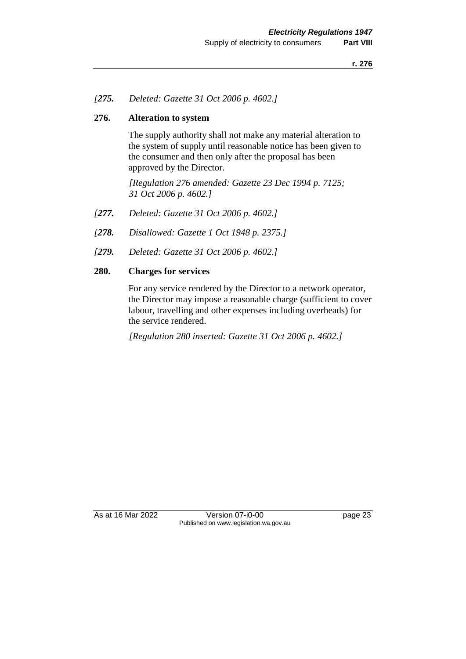### *[275. Deleted: Gazette 31 Oct 2006 p. 4602.]*

### **276. Alteration to system**

The supply authority shall not make any material alteration to the system of supply until reasonable notice has been given to the consumer and then only after the proposal has been approved by the Director.

*[Regulation 276 amended: Gazette 23 Dec 1994 p. 7125; 31 Oct 2006 p. 4602.]*

- *[277. Deleted: Gazette 31 Oct 2006 p. 4602.]*
- *[278. Disallowed: Gazette 1 Oct 1948 p. 2375.]*
- *[279. Deleted: Gazette 31 Oct 2006 p. 4602.]*

### **280. Charges for services**

For any service rendered by the Director to a network operator, the Director may impose a reasonable charge (sufficient to cover labour, travelling and other expenses including overheads) for the service rendered.

*[Regulation 280 inserted: Gazette 31 Oct 2006 p. 4602.]*

As at 16 Mar 2022 Version 07-i0-00 page 23 Published on www.legislation.wa.gov.au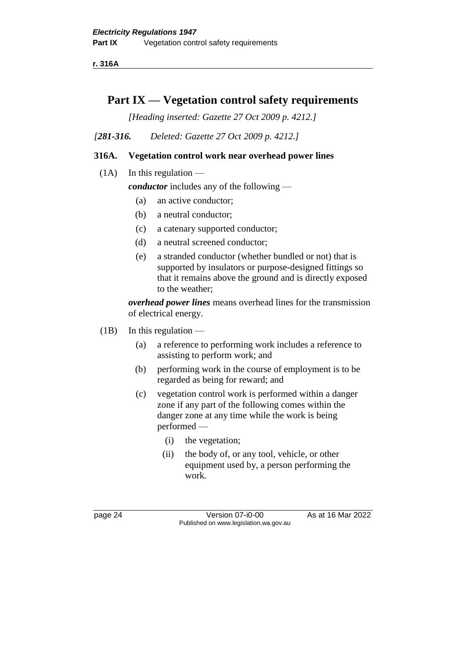**r. 316A**

# **Part IX — Vegetation control safety requirements**

*[Heading inserted: Gazette 27 Oct 2009 p. 4212.]*

*[281-316. Deleted: Gazette 27 Oct 2009 p. 4212.]*

# **316A. Vegetation control work near overhead power lines**

 $(1A)$  In this regulation —

*conductor* includes any of the following —

- (a) an active conductor;
- (b) a neutral conductor;
- (c) a catenary supported conductor;
- (d) a neutral screened conductor;
- (e) a stranded conductor (whether bundled or not) that is supported by insulators or purpose-designed fittings so that it remains above the ground and is directly exposed to the weather;

*overhead power lines* means overhead lines for the transmission of electrical energy.

- $(1B)$  In this regulation
	- (a) a reference to performing work includes a reference to assisting to perform work; and
	- (b) performing work in the course of employment is to be regarded as being for reward; and
	- (c) vegetation control work is performed within a danger zone if any part of the following comes within the danger zone at any time while the work is being performed —
		- (i) the vegetation;
		- (ii) the body of, or any tool, vehicle, or other equipment used by, a person performing the work.

page 24 Version 07-i0-00 As at 16 Mar 2022 Published on www.legislation.wa.gov.au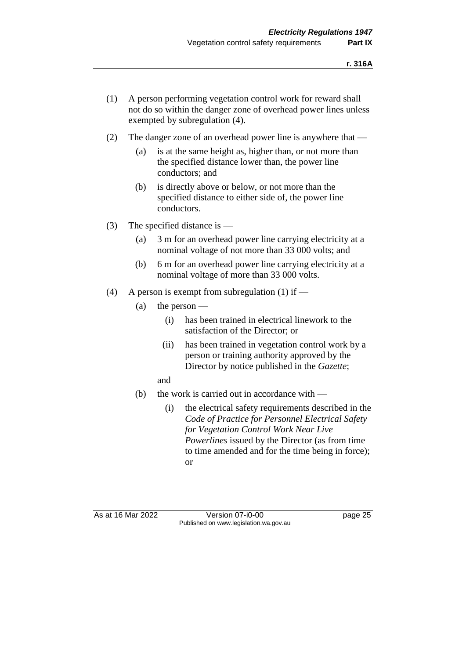- (1) A person performing vegetation control work for reward shall not do so within the danger zone of overhead power lines unless exempted by subregulation (4).
- (2) The danger zone of an overhead power line is anywhere that
	- (a) is at the same height as, higher than, or not more than the specified distance lower than, the power line conductors; and
	- (b) is directly above or below, or not more than the specified distance to either side of, the power line conductors.
- (3) The specified distance is
	- (a) 3 m for an overhead power line carrying electricity at a nominal voltage of not more than 33 000 volts; and
	- (b) 6 m for an overhead power line carrying electricity at a nominal voltage of more than 33 000 volts.
- (4) A person is exempt from subregulation (1) if
	- (a) the person  $-$ 
		- (i) has been trained in electrical linework to the satisfaction of the Director; or
		- (ii) has been trained in vegetation control work by a person or training authority approved by the Director by notice published in the *Gazette*;
		- and
	- (b) the work is carried out in accordance with
		- (i) the electrical safety requirements described in the *Code of Practice for Personnel Electrical Safety for Vegetation Control Work Near Live Powerlines* issued by the Director (as from time to time amended and for the time being in force); or

As at 16 Mar 2022 Version 07-i0-00 page 25 Published on www.legislation.wa.gov.au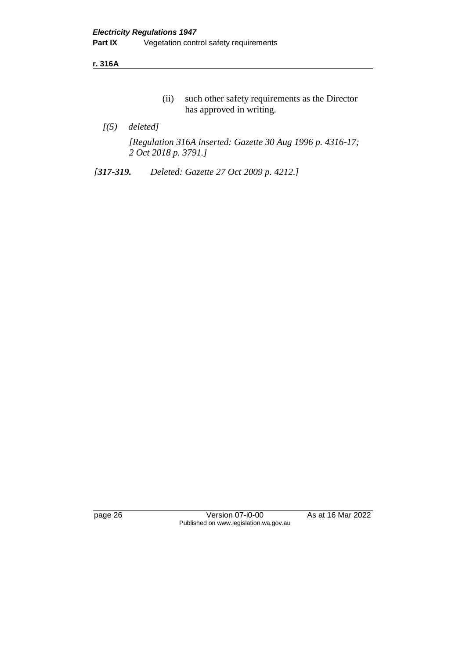**r. 316A**

- (ii) such other safety requirements as the Director has approved in writing.
- *[(5) deleted]*

*[Regulation 316A inserted: Gazette 30 Aug 1996 p. 4316-17; 2 Oct 2018 p. 3791.]*

*[317-319. Deleted: Gazette 27 Oct 2009 p. 4212.]*

page 26 Version 07-i0-00 As at 16 Mar 2022 Published on www.legislation.wa.gov.au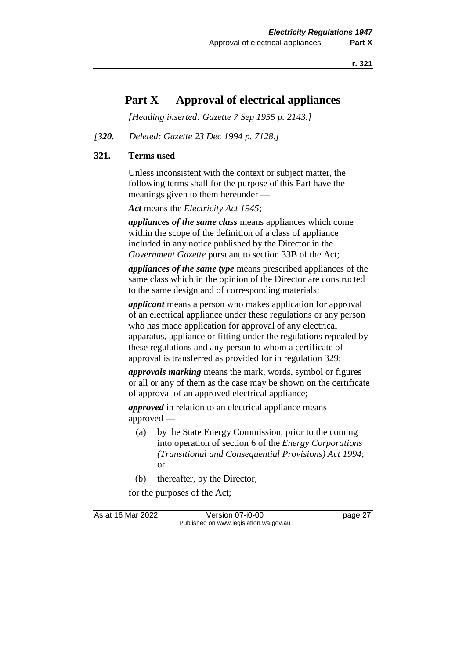# **Part X — Approval of electrical appliances**

*[Heading inserted: Gazette 7 Sep 1955 p. 2143.]*

#### *[320. Deleted: Gazette 23 Dec 1994 p. 7128.]*

#### **321. Terms used**

Unless inconsistent with the context or subject matter, the following terms shall for the purpose of this Part have the meanings given to them hereunder —

*Act* means the *Electricity Act 1945*;

*appliances of the same class* means appliances which come within the scope of the definition of a class of appliance included in any notice published by the Director in the *Government Gazette* pursuant to section 33B of the Act;

*appliances of the same type* means prescribed appliances of the same class which in the opinion of the Director are constructed to the same design and of corresponding materials;

*applicant* means a person who makes application for approval of an electrical appliance under these regulations or any person who has made application for approval of any electrical apparatus, appliance or fitting under the regulations repealed by these regulations and any person to whom a certificate of approval is transferred as provided for in regulation 329;

*approvals marking* means the mark, words, symbol or figures or all or any of them as the case may be shown on the certificate of approval of an approved electrical appliance;

*approved* in relation to an electrical appliance means approved —

- (a) by the State Energy Commission, prior to the coming into operation of section 6 of the *Energy Corporations (Transitional and Consequential Provisions) Act 1994*; or
- (b) thereafter, by the Director,

for the purposes of the Act;

As at 16 Mar 2022 Version 07-i0-00 page 27 Published on www.legislation.wa.gov.au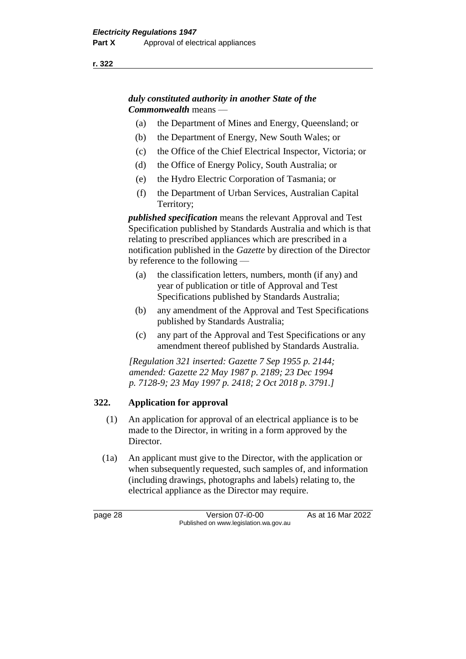# *duly constituted authority in another State of the Commonwealth* means —

- (a) the Department of Mines and Energy, Queensland; or
- (b) the Department of Energy, New South Wales; or
- (c) the Office of the Chief Electrical Inspector, Victoria; or
- (d) the Office of Energy Policy, South Australia; or
- (e) the Hydro Electric Corporation of Tasmania; or
- (f) the Department of Urban Services, Australian Capital Territory;

*published specification* means the relevant Approval and Test Specification published by Standards Australia and which is that relating to prescribed appliances which are prescribed in a notification published in the *Gazette* by direction of the Director by reference to the following —

- (a) the classification letters, numbers, month (if any) and year of publication or title of Approval and Test Specifications published by Standards Australia;
- (b) any amendment of the Approval and Test Specifications published by Standards Australia;
- (c) any part of the Approval and Test Specifications or any amendment thereof published by Standards Australia.

*[Regulation 321 inserted: Gazette 7 Sep 1955 p. 2144; amended: Gazette 22 May 1987 p. 2189; 23 Dec 1994 p. 7128-9; 23 May 1997 p. 2418; 2 Oct 2018 p. 3791.]*

# **322. Application for approval**

- (1) An application for approval of an electrical appliance is to be made to the Director, in writing in a form approved by the Director.
- (1a) An applicant must give to the Director, with the application or when subsequently requested, such samples of, and information (including drawings, photographs and labels) relating to, the electrical appliance as the Director may require.

page 28 Version 07-i0-00 As at 16 Mar 2022 Published on www.legislation.wa.gov.au

**r. 322**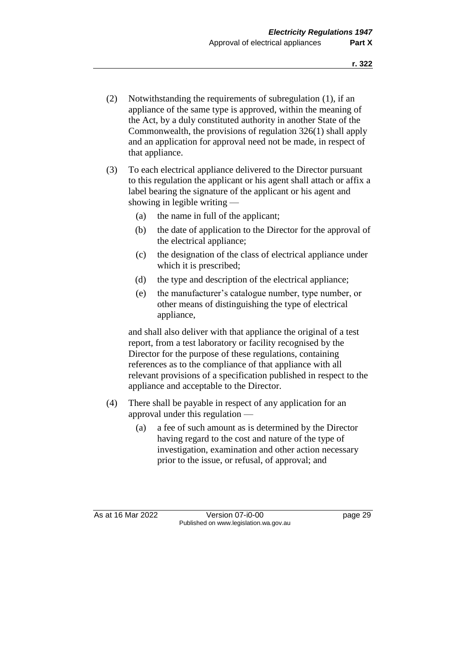- (2) Notwithstanding the requirements of subregulation (1), if an appliance of the same type is approved, within the meaning of the Act, by a duly constituted authority in another State of the Commonwealth, the provisions of regulation 326(1) shall apply and an application for approval need not be made, in respect of that appliance.
- (3) To each electrical appliance delivered to the Director pursuant to this regulation the applicant or his agent shall attach or affix a label bearing the signature of the applicant or his agent and showing in legible writing —
	- (a) the name in full of the applicant;
	- (b) the date of application to the Director for the approval of the electrical appliance;
	- (c) the designation of the class of electrical appliance under which it is prescribed;
	- (d) the type and description of the electrical appliance;
	- (e) the manufacturer's catalogue number, type number, or other means of distinguishing the type of electrical appliance,

and shall also deliver with that appliance the original of a test report, from a test laboratory or facility recognised by the Director for the purpose of these regulations, containing references as to the compliance of that appliance with all relevant provisions of a specification published in respect to the appliance and acceptable to the Director.

- (4) There shall be payable in respect of any application for an approval under this regulation —
	- (a) a fee of such amount as is determined by the Director having regard to the cost and nature of the type of investigation, examination and other action necessary prior to the issue, or refusal, of approval; and

As at 16 Mar 2022 Version 07-i0-00 page 29 Published on www.legislation.wa.gov.au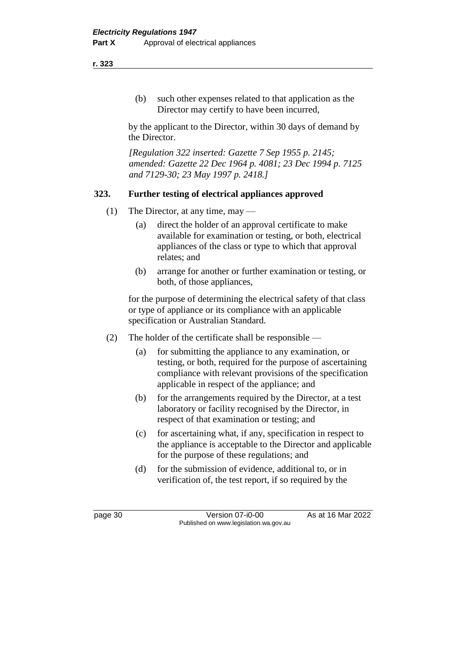(b) such other expenses related to that application as the Director may certify to have been incurred,

by the applicant to the Director, within 30 days of demand by the Director.

*[Regulation 322 inserted: Gazette 7 Sep 1955 p. 2145; amended: Gazette 22 Dec 1964 p. 4081; 23 Dec 1994 p. 7125 and 7129-30; 23 May 1997 p. 2418.]*

### **323. Further testing of electrical appliances approved**

- (1) The Director, at any time, may
	- (a) direct the holder of an approval certificate to make available for examination or testing, or both, electrical appliances of the class or type to which that approval relates; and
	- (b) arrange for another or further examination or testing, or both, of those appliances,

for the purpose of determining the electrical safety of that class or type of appliance or its compliance with an applicable specification or Australian Standard.

- (2) The holder of the certificate shall be responsible
	- (a) for submitting the appliance to any examination, or testing, or both, required for the purpose of ascertaining compliance with relevant provisions of the specification applicable in respect of the appliance; and
	- (b) for the arrangements required by the Director, at a test laboratory or facility recognised by the Director, in respect of that examination or testing; and
	- (c) for ascertaining what, if any, specification in respect to the appliance is acceptable to the Director and applicable for the purpose of these regulations; and
	- (d) for the submission of evidence, additional to, or in verification of, the test report, if so required by the

page 30 Version 07-i0-00 As at 16 Mar 2022 Published on www.legislation.wa.gov.au

**r. 323**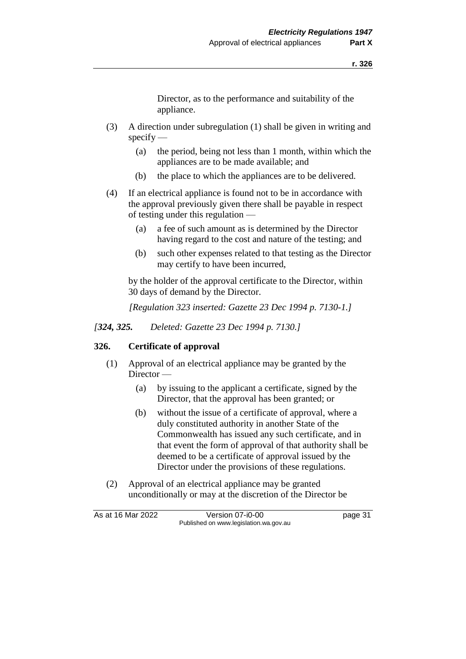Director, as to the performance and suitability of the appliance.

- (3) A direction under subregulation (1) shall be given in writing and  $specify$  —
	- (a) the period, being not less than 1 month, within which the appliances are to be made available; and
	- (b) the place to which the appliances are to be delivered.
- (4) If an electrical appliance is found not to be in accordance with the approval previously given there shall be payable in respect of testing under this regulation —
	- (a) a fee of such amount as is determined by the Director having regard to the cost and nature of the testing; and
	- (b) such other expenses related to that testing as the Director may certify to have been incurred,

by the holder of the approval certificate to the Director, within 30 days of demand by the Director.

*[Regulation 323 inserted: Gazette 23 Dec 1994 p. 7130-1.]*

*[324, 325. Deleted: Gazette 23 Dec 1994 p. 7130.]*

### **326. Certificate of approval**

- (1) Approval of an electrical appliance may be granted by the Director —
	- (a) by issuing to the applicant a certificate, signed by the Director, that the approval has been granted; or
	- (b) without the issue of a certificate of approval, where a duly constituted authority in another State of the Commonwealth has issued any such certificate, and in that event the form of approval of that authority shall be deemed to be a certificate of approval issued by the Director under the provisions of these regulations.
- (2) Approval of an electrical appliance may be granted unconditionally or may at the discretion of the Director be

As at 16 Mar 2022 Version 07-i0-00 page 31 Published on www.legislation.wa.gov.au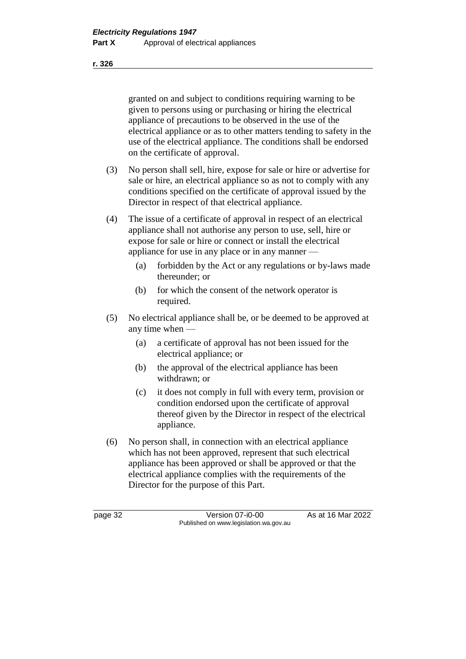granted on and subject to conditions requiring warning to be given to persons using or purchasing or hiring the electrical appliance of precautions to be observed in the use of the electrical appliance or as to other matters tending to safety in the use of the electrical appliance. The conditions shall be endorsed on the certificate of approval.

(3) No person shall sell, hire, expose for sale or hire or advertise for sale or hire, an electrical appliance so as not to comply with any conditions specified on the certificate of approval issued by the Director in respect of that electrical appliance.

(4) The issue of a certificate of approval in respect of an electrical appliance shall not authorise any person to use, sell, hire or expose for sale or hire or connect or install the electrical appliance for use in any place or in any manner —

- (a) forbidden by the Act or any regulations or by-laws made thereunder; or
- (b) for which the consent of the network operator is required.
- (5) No electrical appliance shall be, or be deemed to be approved at any time when —
	- (a) a certificate of approval has not been issued for the electrical appliance; or
	- (b) the approval of the electrical appliance has been withdrawn; or
	- (c) it does not comply in full with every term, provision or condition endorsed upon the certificate of approval thereof given by the Director in respect of the electrical appliance.
- (6) No person shall, in connection with an electrical appliance which has not been approved, represent that such electrical appliance has been approved or shall be approved or that the electrical appliance complies with the requirements of the Director for the purpose of this Part.

page 32 Version 07-i0-00 As at 16 Mar 2022 Published on www.legislation.wa.gov.au

**r. 326**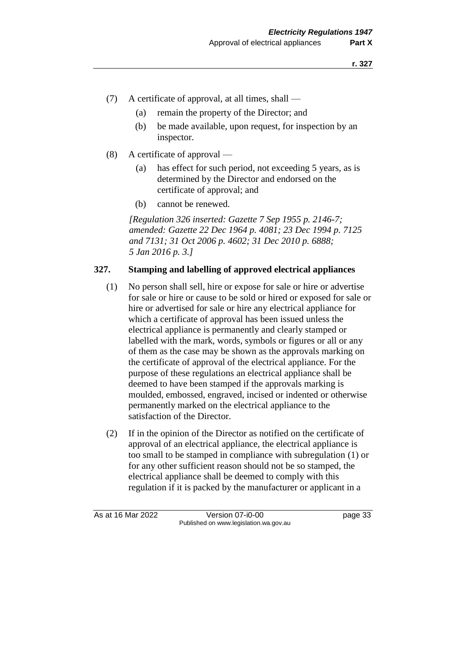- (7) A certificate of approval, at all times, shall
	- (a) remain the property of the Director; and
	- (b) be made available, upon request, for inspection by an inspector.
- (8) A certificate of approval
	- (a) has effect for such period, not exceeding 5 years, as is determined by the Director and endorsed on the certificate of approval; and
	- (b) cannot be renewed.

*[Regulation 326 inserted: Gazette 7 Sep 1955 p. 2146-7; amended: Gazette 22 Dec 1964 p. 4081; 23 Dec 1994 p. 7125 and 7131; 31 Oct 2006 p. 4602; 31 Dec 2010 p. 6888; 5 Jan 2016 p. 3.]*

### **327. Stamping and labelling of approved electrical appliances**

- (1) No person shall sell, hire or expose for sale or hire or advertise for sale or hire or cause to be sold or hired or exposed for sale or hire or advertised for sale or hire any electrical appliance for which a certificate of approval has been issued unless the electrical appliance is permanently and clearly stamped or labelled with the mark, words, symbols or figures or all or any of them as the case may be shown as the approvals marking on the certificate of approval of the electrical appliance. For the purpose of these regulations an electrical appliance shall be deemed to have been stamped if the approvals marking is moulded, embossed, engraved, incised or indented or otherwise permanently marked on the electrical appliance to the satisfaction of the Director.
- (2) If in the opinion of the Director as notified on the certificate of approval of an electrical appliance, the electrical appliance is too small to be stamped in compliance with subregulation (1) or for any other sufficient reason should not be so stamped, the electrical appliance shall be deemed to comply with this regulation if it is packed by the manufacturer or applicant in a

As at 16 Mar 2022 Version 07-i0-00 page 33 Published on www.legislation.wa.gov.au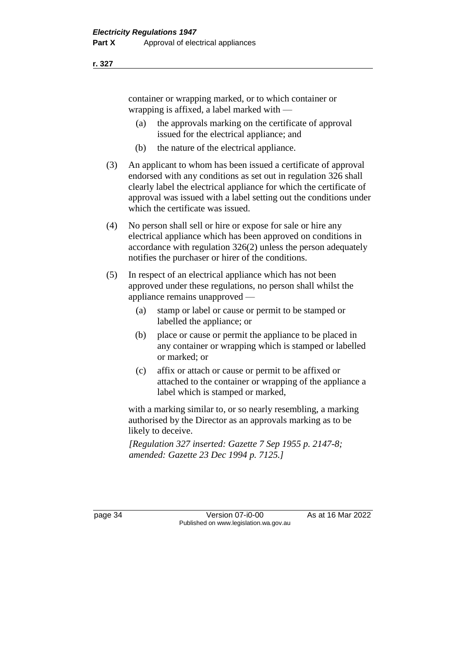container or wrapping marked, or to which container or wrapping is affixed, a label marked with —

- (a) the approvals marking on the certificate of approval issued for the electrical appliance; and
- (b) the nature of the electrical appliance.
- (3) An applicant to whom has been issued a certificate of approval endorsed with any conditions as set out in regulation 326 shall clearly label the electrical appliance for which the certificate of approval was issued with a label setting out the conditions under which the certificate was issued.
- (4) No person shall sell or hire or expose for sale or hire any electrical appliance which has been approved on conditions in accordance with regulation 326(2) unless the person adequately notifies the purchaser or hirer of the conditions.
- (5) In respect of an electrical appliance which has not been approved under these regulations, no person shall whilst the appliance remains unapproved —
	- (a) stamp or label or cause or permit to be stamped or labelled the appliance; or
	- (b) place or cause or permit the appliance to be placed in any container or wrapping which is stamped or labelled or marked; or
	- (c) affix or attach or cause or permit to be affixed or attached to the container or wrapping of the appliance a label which is stamped or marked,

with a marking similar to, or so nearly resembling, a marking authorised by the Director as an approvals marking as to be likely to deceive.

*[Regulation 327 inserted: Gazette 7 Sep 1955 p. 2147-8; amended: Gazette 23 Dec 1994 p. 7125.]*

page 34 Version 07-i0-00 As at 16 Mar 2022 Published on www.legislation.wa.gov.au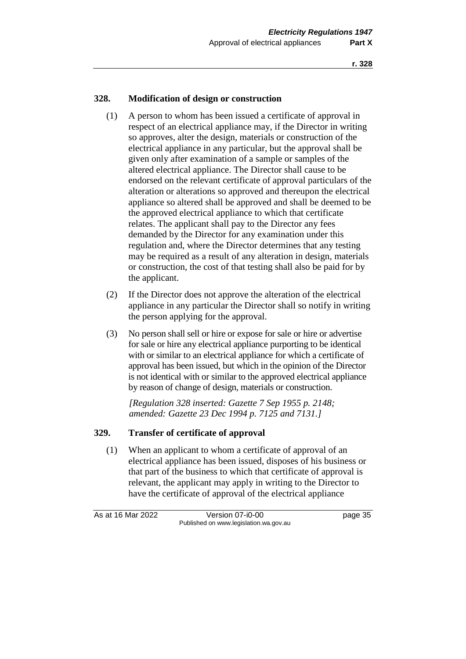### **328. Modification of design or construction**

- (1) A person to whom has been issued a certificate of approval in respect of an electrical appliance may, if the Director in writing so approves, alter the design, materials or construction of the electrical appliance in any particular, but the approval shall be given only after examination of a sample or samples of the altered electrical appliance. The Director shall cause to be endorsed on the relevant certificate of approval particulars of the alteration or alterations so approved and thereupon the electrical appliance so altered shall be approved and shall be deemed to be the approved electrical appliance to which that certificate relates. The applicant shall pay to the Director any fees demanded by the Director for any examination under this regulation and, where the Director determines that any testing may be required as a result of any alteration in design, materials or construction, the cost of that testing shall also be paid for by the applicant.
- (2) If the Director does not approve the alteration of the electrical appliance in any particular the Director shall so notify in writing the person applying for the approval.
- (3) No person shall sell or hire or expose for sale or hire or advertise for sale or hire any electrical appliance purporting to be identical with or similar to an electrical appliance for which a certificate of approval has been issued, but which in the opinion of the Director is not identical with or similar to the approved electrical appliance by reason of change of design, materials or construction.

*[Regulation 328 inserted: Gazette 7 Sep 1955 p. 2148; amended: Gazette 23 Dec 1994 p. 7125 and 7131.]*

### **329. Transfer of certificate of approval**

(1) When an applicant to whom a certificate of approval of an electrical appliance has been issued, disposes of his business or that part of the business to which that certificate of approval is relevant, the applicant may apply in writing to the Director to have the certificate of approval of the electrical appliance

As at 16 Mar 2022 Version 07-i0-00 page 35 Published on www.legislation.wa.gov.au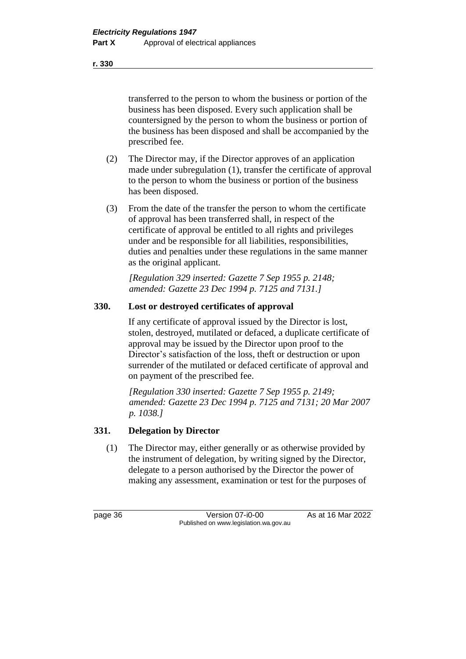transferred to the person to whom the business or portion of the business has been disposed. Every such application shall be countersigned by the person to whom the business or portion of the business has been disposed and shall be accompanied by the prescribed fee.

- (2) The Director may, if the Director approves of an application made under subregulation (1), transfer the certificate of approval to the person to whom the business or portion of the business has been disposed.
- (3) From the date of the transfer the person to whom the certificate of approval has been transferred shall, in respect of the certificate of approval be entitled to all rights and privileges under and be responsible for all liabilities, responsibilities, duties and penalties under these regulations in the same manner as the original applicant.

*[Regulation 329 inserted: Gazette 7 Sep 1955 p. 2148; amended: Gazette 23 Dec 1994 p. 7125 and 7131.]*

### **330. Lost or destroyed certificates of approval**

If any certificate of approval issued by the Director is lost, stolen, destroyed, mutilated or defaced, a duplicate certificate of approval may be issued by the Director upon proof to the Director's satisfaction of the loss, theft or destruction or upon surrender of the mutilated or defaced certificate of approval and on payment of the prescribed fee.

*[Regulation 330 inserted: Gazette 7 Sep 1955 p. 2149; amended: Gazette 23 Dec 1994 p. 7125 and 7131; 20 Mar 2007 p. 1038.]*

### **331. Delegation by Director**

(1) The Director may, either generally or as otherwise provided by the instrument of delegation, by writing signed by the Director, delegate to a person authorised by the Director the power of making any assessment, examination or test for the purposes of

page 36 Version 07-i0-00 As at 16 Mar 2022 Published on www.legislation.wa.gov.au

**r. 330**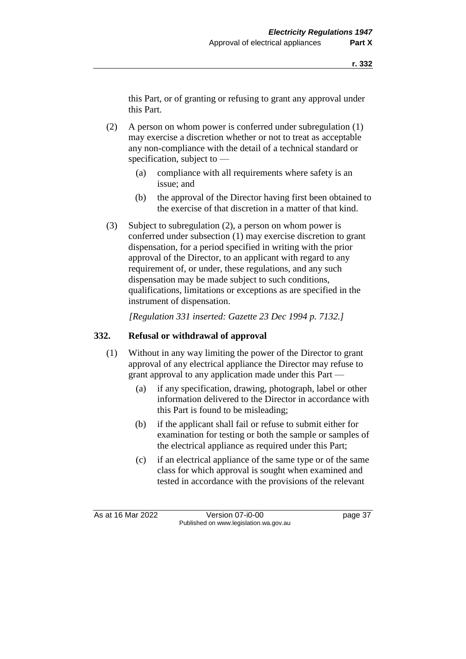this Part, or of granting or refusing to grant any approval under this Part.

- (2) A person on whom power is conferred under subregulation (1) may exercise a discretion whether or not to treat as acceptable any non-compliance with the detail of a technical standard or specification, subject to —
	- (a) compliance with all requirements where safety is an issue; and
	- (b) the approval of the Director having first been obtained to the exercise of that discretion in a matter of that kind.
- (3) Subject to subregulation (2), a person on whom power is conferred under subsection (1) may exercise discretion to grant dispensation, for a period specified in writing with the prior approval of the Director, to an applicant with regard to any requirement of, or under, these regulations, and any such dispensation may be made subject to such conditions, qualifications, limitations or exceptions as are specified in the instrument of dispensation.

*[Regulation 331 inserted: Gazette 23 Dec 1994 p. 7132.]*

### **332. Refusal or withdrawal of approval**

- (1) Without in any way limiting the power of the Director to grant approval of any electrical appliance the Director may refuse to grant approval to any application made under this Part —
	- (a) if any specification, drawing, photograph, label or other information delivered to the Director in accordance with this Part is found to be misleading;
	- (b) if the applicant shall fail or refuse to submit either for examination for testing or both the sample or samples of the electrical appliance as required under this Part;
	- (c) if an electrical appliance of the same type or of the same class for which approval is sought when examined and tested in accordance with the provisions of the relevant

As at 16 Mar 2022 Version 07-i0-00 page 37 Published on www.legislation.wa.gov.au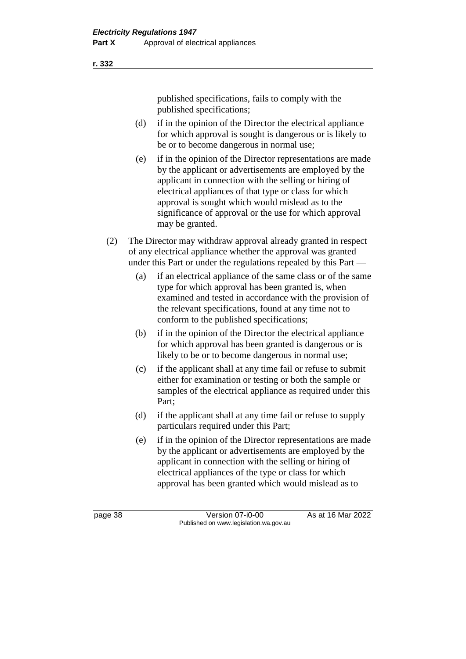published specifications, fails to comply with the published specifications;

- (d) if in the opinion of the Director the electrical appliance for which approval is sought is dangerous or is likely to be or to become dangerous in normal use;
- (e) if in the opinion of the Director representations are made by the applicant or advertisements are employed by the applicant in connection with the selling or hiring of electrical appliances of that type or class for which approval is sought which would mislead as to the significance of approval or the use for which approval may be granted.
- (2) The Director may withdraw approval already granted in respect of any electrical appliance whether the approval was granted under this Part or under the regulations repealed by this Part —
	- (a) if an electrical appliance of the same class or of the same type for which approval has been granted is, when examined and tested in accordance with the provision of the relevant specifications, found at any time not to conform to the published specifications;
	- (b) if in the opinion of the Director the electrical appliance for which approval has been granted is dangerous or is likely to be or to become dangerous in normal use;
	- (c) if the applicant shall at any time fail or refuse to submit either for examination or testing or both the sample or samples of the electrical appliance as required under this Part;
	- (d) if the applicant shall at any time fail or refuse to supply particulars required under this Part;
	- (e) if in the opinion of the Director representations are made by the applicant or advertisements are employed by the applicant in connection with the selling or hiring of electrical appliances of the type or class for which approval has been granted which would mislead as to

**r. 332**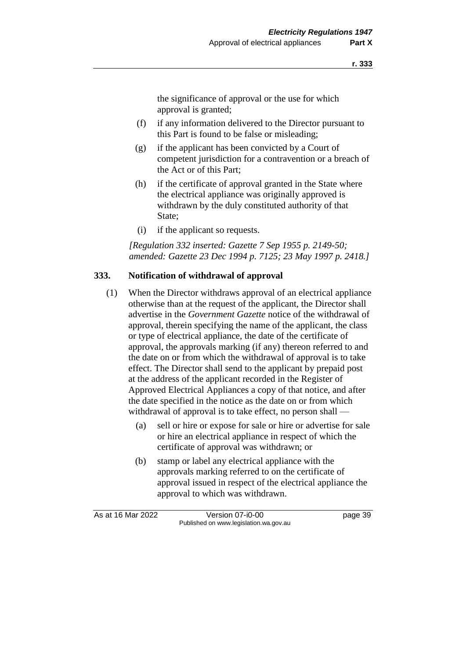the significance of approval or the use for which approval is granted;

- (f) if any information delivered to the Director pursuant to this Part is found to be false or misleading;
- (g) if the applicant has been convicted by a Court of competent jurisdiction for a contravention or a breach of the Act or of this Part;
- (h) if the certificate of approval granted in the State where the electrical appliance was originally approved is withdrawn by the duly constituted authority of that State;
- (i) if the applicant so requests.

*[Regulation 332 inserted: Gazette 7 Sep 1955 p. 2149-50; amended: Gazette 23 Dec 1994 p. 7125; 23 May 1997 p. 2418.]*

### **333. Notification of withdrawal of approval**

- (1) When the Director withdraws approval of an electrical appliance otherwise than at the request of the applicant, the Director shall advertise in the *Government Gazette* notice of the withdrawal of approval, therein specifying the name of the applicant, the class or type of electrical appliance, the date of the certificate of approval, the approvals marking (if any) thereon referred to and the date on or from which the withdrawal of approval is to take effect. The Director shall send to the applicant by prepaid post at the address of the applicant recorded in the Register of Approved Electrical Appliances a copy of that notice, and after the date specified in the notice as the date on or from which withdrawal of approval is to take effect, no person shall —
	- (a) sell or hire or expose for sale or hire or advertise for sale or hire an electrical appliance in respect of which the certificate of approval was withdrawn; or
	- (b) stamp or label any electrical appliance with the approvals marking referred to on the certificate of approval issued in respect of the electrical appliance the approval to which was withdrawn.

As at 16 Mar 2022 Version 07-i0-00 page 39 Published on www.legislation.wa.gov.au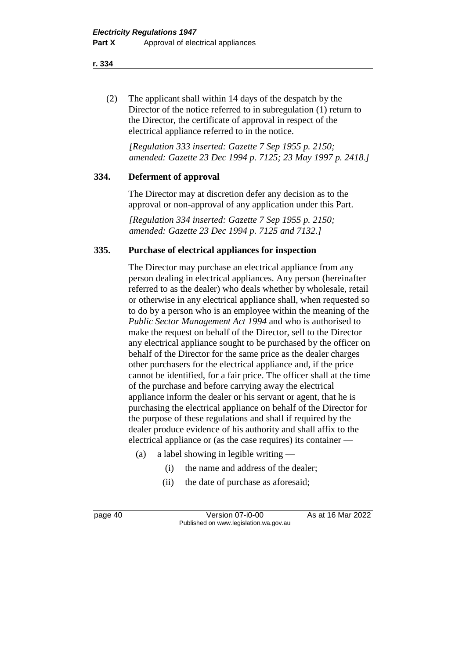(2) The applicant shall within 14 days of the despatch by the Director of the notice referred to in subregulation (1) return to the Director, the certificate of approval in respect of the electrical appliance referred to in the notice.

*[Regulation 333 inserted: Gazette 7 Sep 1955 p. 2150; amended: Gazette 23 Dec 1994 p. 7125; 23 May 1997 p. 2418.]*

### **334. Deferment of approval**

The Director may at discretion defer any decision as to the approval or non-approval of any application under this Part.

*[Regulation 334 inserted: Gazette 7 Sep 1955 p. 2150; amended: Gazette 23 Dec 1994 p. 7125 and 7132.]*

### **335. Purchase of electrical appliances for inspection**

The Director may purchase an electrical appliance from any person dealing in electrical appliances. Any person (hereinafter referred to as the dealer) who deals whether by wholesale, retail or otherwise in any electrical appliance shall, when requested so to do by a person who is an employee within the meaning of the *Public Sector Management Act 1994* and who is authorised to make the request on behalf of the Director, sell to the Director any electrical appliance sought to be purchased by the officer on behalf of the Director for the same price as the dealer charges other purchasers for the electrical appliance and, if the price cannot be identified, for a fair price. The officer shall at the time of the purchase and before carrying away the electrical appliance inform the dealer or his servant or agent, that he is purchasing the electrical appliance on behalf of the Director for the purpose of these regulations and shall if required by the dealer produce evidence of his authority and shall affix to the electrical appliance or (as the case requires) its container —

- (a) a label showing in legible writing
	- (i) the name and address of the dealer;
	- (ii) the date of purchase as aforesaid;

page 40 Version 07-i0-00 As at 16 Mar 2022 Published on www.legislation.wa.gov.au

**r. 334**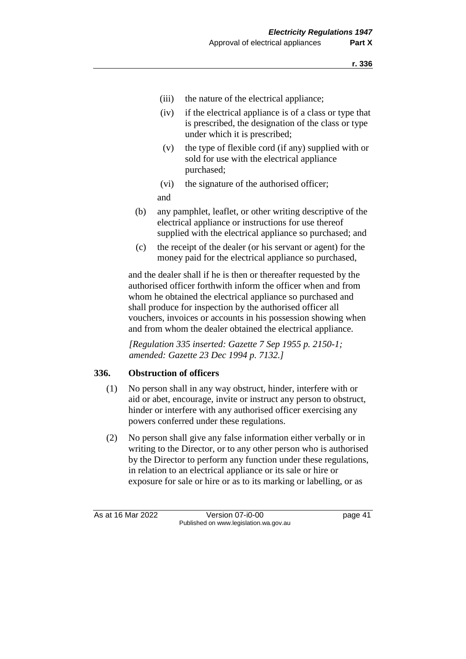- (iii) the nature of the electrical appliance;
- (iv) if the electrical appliance is of a class or type that is prescribed, the designation of the class or type under which it is prescribed;
- (v) the type of flexible cord (if any) supplied with or sold for use with the electrical appliance purchased;
- (vi) the signature of the authorised officer;

and

- (b) any pamphlet, leaflet, or other writing descriptive of the electrical appliance or instructions for use thereof supplied with the electrical appliance so purchased; and
- (c) the receipt of the dealer (or his servant or agent) for the money paid for the electrical appliance so purchased,

and the dealer shall if he is then or thereafter requested by the authorised officer forthwith inform the officer when and from whom he obtained the electrical appliance so purchased and shall produce for inspection by the authorised officer all vouchers, invoices or accounts in his possession showing when and from whom the dealer obtained the electrical appliance.

*[Regulation 335 inserted: Gazette 7 Sep 1955 p. 2150-1; amended: Gazette 23 Dec 1994 p. 7132.]*

### **336. Obstruction of officers**

- (1) No person shall in any way obstruct, hinder, interfere with or aid or abet, encourage, invite or instruct any person to obstruct, hinder or interfere with any authorised officer exercising any powers conferred under these regulations.
- (2) No person shall give any false information either verbally or in writing to the Director, or to any other person who is authorised by the Director to perform any function under these regulations, in relation to an electrical appliance or its sale or hire or exposure for sale or hire or as to its marking or labelling, or as

As at 16 Mar 2022 Version 07-i0-00 page 41 Published on www.legislation.wa.gov.au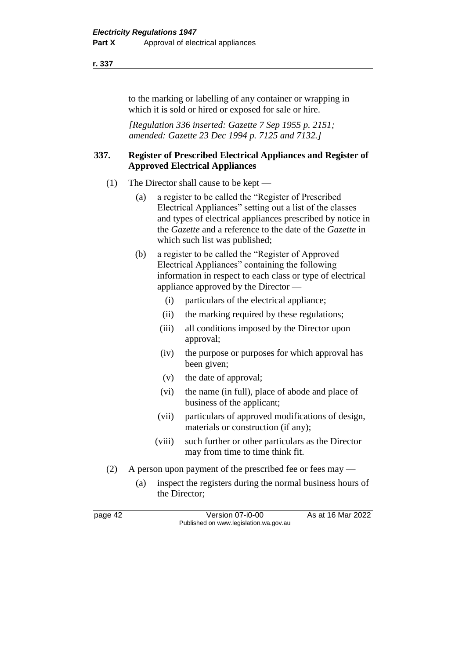to the marking or labelling of any container or wrapping in which it is sold or hired or exposed for sale or hire.

*[Regulation 336 inserted: Gazette 7 Sep 1955 p. 2151; amended: Gazette 23 Dec 1994 p. 7125 and 7132.]*

### **337. Register of Prescribed Electrical Appliances and Register of Approved Electrical Appliances**

- (1) The Director shall cause to be kept
	- (a) a register to be called the "Register of Prescribed Electrical Appliances" setting out a list of the classes and types of electrical appliances prescribed by notice in the *Gazette* and a reference to the date of the *Gazette* in which such list was published;
	- (b) a register to be called the "Register of Approved Electrical Appliances" containing the following information in respect to each class or type of electrical appliance approved by the Director —
		- (i) particulars of the electrical appliance;
		- (ii) the marking required by these regulations;
		- (iii) all conditions imposed by the Director upon approval;
		- (iv) the purpose or purposes for which approval has been given;
		- (v) the date of approval;
		- (vi) the name (in full), place of abode and place of business of the applicant;
		- (vii) particulars of approved modifications of design, materials or construction (if any);
		- (viii) such further or other particulars as the Director may from time to time think fit.
- (2) A person upon payment of the prescribed fee or fees may
	- (a) inspect the registers during the normal business hours of the Director;

page 42 Version 07-i0-00 As at 16 Mar 2022 Published on www.legislation.wa.gov.au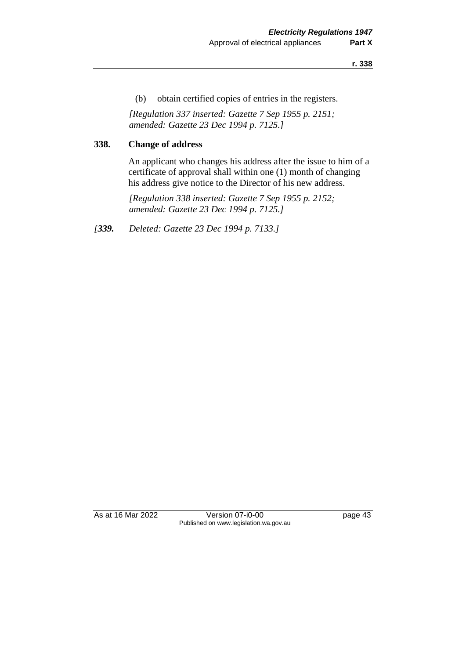(b) obtain certified copies of entries in the registers.

*[Regulation 337 inserted: Gazette 7 Sep 1955 p. 2151; amended: Gazette 23 Dec 1994 p. 7125.]*

## **338. Change of address**

An applicant who changes his address after the issue to him of a certificate of approval shall within one (1) month of changing his address give notice to the Director of his new address.

*[Regulation 338 inserted: Gazette 7 Sep 1955 p. 2152; amended: Gazette 23 Dec 1994 p. 7125.]*

*[339. Deleted: Gazette 23 Dec 1994 p. 7133.]*

As at 16 Mar 2022 Version 07-i0-00 page 43 Published on www.legislation.wa.gov.au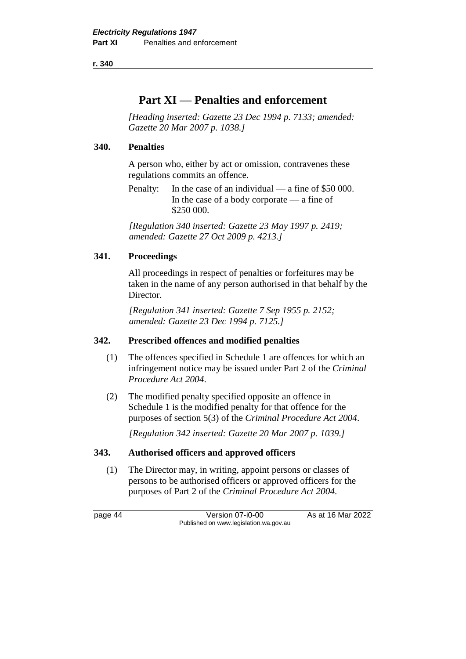# **Part XI — Penalties and enforcement**

*[Heading inserted: Gazette 23 Dec 1994 p. 7133; amended: Gazette 20 Mar 2007 p. 1038.]*

### **340. Penalties**

A person who, either by act or omission, contravenes these regulations commits an offence.

Penalty: In the case of an individual — a fine of \$50 000. In the case of a body corporate — a fine of \$250 000.

*[Regulation 340 inserted: Gazette 23 May 1997 p. 2419; amended: Gazette 27 Oct 2009 p. 4213.]*

### **341. Proceedings**

All proceedings in respect of penalties or forfeitures may be taken in the name of any person authorised in that behalf by the Director.

*[Regulation 341 inserted: Gazette 7 Sep 1955 p. 2152; amended: Gazette 23 Dec 1994 p. 7125.]*

### **342. Prescribed offences and modified penalties**

- (1) The offences specified in Schedule 1 are offences for which an infringement notice may be issued under Part 2 of the *Criminal Procedure Act 2004*.
- (2) The modified penalty specified opposite an offence in Schedule 1 is the modified penalty for that offence for the purposes of section 5(3) of the *Criminal Procedure Act 2004*.

*[Regulation 342 inserted: Gazette 20 Mar 2007 p. 1039.]*

### **343. Authorised officers and approved officers**

(1) The Director may, in writing, appoint persons or classes of persons to be authorised officers or approved officers for the purposes of Part 2 of the *Criminal Procedure Act 2004*.

page 44 Version 07-i0-00 As at 16 Mar 2022 Published on www.legislation.wa.gov.au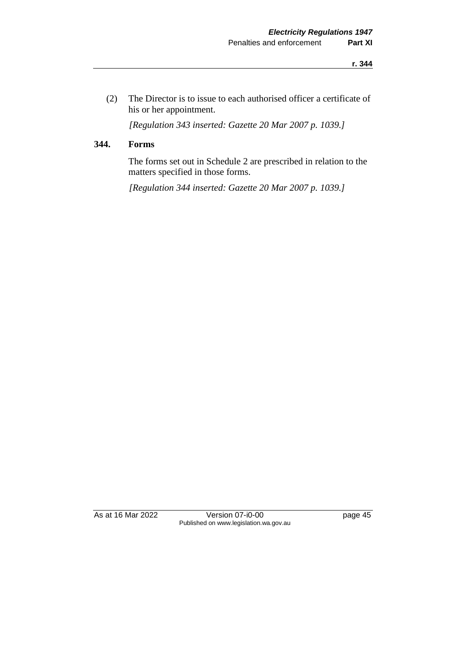(2) The Director is to issue to each authorised officer a certificate of his or her appointment.

*[Regulation 343 inserted: Gazette 20 Mar 2007 p. 1039.]*

### **344. Forms**

The forms set out in Schedule 2 are prescribed in relation to the matters specified in those forms.

*[Regulation 344 inserted: Gazette 20 Mar 2007 p. 1039.]*

As at 16 Mar 2022 Version 07-i0-00 page 45 Published on www.legislation.wa.gov.au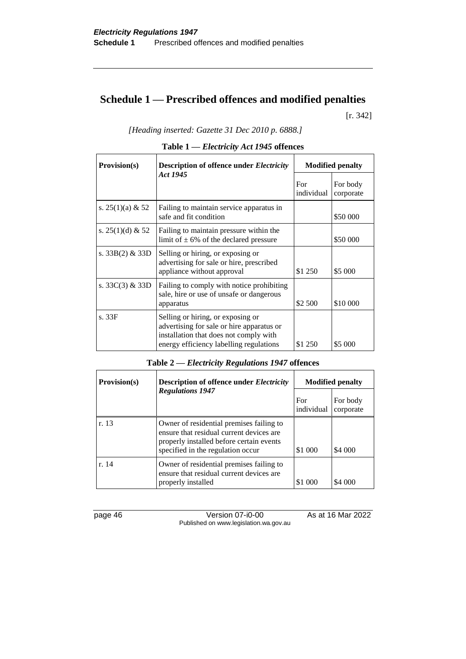# **Schedule 1 — Prescribed offences and modified penalties**

[r. 342]

*[Heading inserted: Gazette 31 Dec 2010 p. 6888.]*

| Provision(s)        | <b>Description of offence under Electricity</b>                                                                                                                     | <b>Modified penalty</b> |                       |
|---------------------|---------------------------------------------------------------------------------------------------------------------------------------------------------------------|-------------------------|-----------------------|
|                     | Act 1945                                                                                                                                                            | For<br>individual       | For body<br>corporate |
| s. 25(1)(a) & 52    | Failing to maintain service apparatus in<br>safe and fit condition                                                                                                  |                         | \$50 000              |
| s. $25(1)(d)$ & 52  | Failing to maintain pressure within the<br>limit of $\pm$ 6% of the declared pressure                                                                               |                         | \$50 000              |
| s. $33B(2)$ & $33D$ | Selling or hiring, or exposing or<br>advertising for sale or hire, prescribed<br>appliance without approval                                                         | \$1 250                 | \$5 000               |
| s. $33C(3)$ & $33D$ | Failing to comply with notice prohibiting<br>sale, hire or use of unsafe or dangerous<br>apparatus                                                                  | \$2 500                 | \$10 000              |
| s. 33F              | Selling or hiring, or exposing or<br>advertising for sale or hire apparatus or<br>installation that does not comply with<br>energy efficiency labelling regulations | \$1 250                 | \$5 000               |

|  | Table $1$ — <i>Electricity Act 1945</i> offences |
|--|--------------------------------------------------|
|--|--------------------------------------------------|

| <b>Provision(s)</b> | <b>Description of offence under Electricity</b>                                                                                                                       | <b>Modified penalty</b> |                       |
|---------------------|-----------------------------------------------------------------------------------------------------------------------------------------------------------------------|-------------------------|-----------------------|
|                     | <b>Regulations 1947</b>                                                                                                                                               | For<br>individual       | For body<br>corporate |
| r. 13               | Owner of residential premises failing to<br>ensure that residual current devices are<br>properly installed before certain events<br>specified in the regulation occur | \$1 000                 | \$4 000               |
| r. 14               | Owner of residential premises failing to<br>ensure that residual current devices are<br>properly installed                                                            | \$1 000                 | \$4 000               |

page 46 Version 07-i0-00 As at 16 Mar 2022 Published on www.legislation.wa.gov.au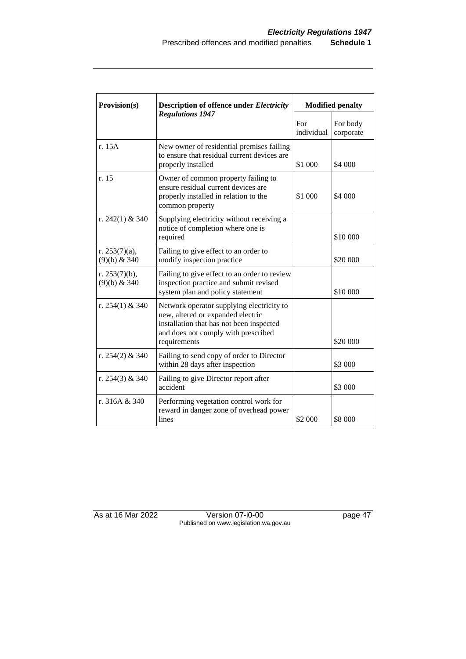| Provision(s)                       | <b>Description of offence under Electricity</b><br><b>Regulations 1947</b>                                                                                                        | <b>Modified penalty</b> |                       |
|------------------------------------|-----------------------------------------------------------------------------------------------------------------------------------------------------------------------------------|-------------------------|-----------------------|
|                                    |                                                                                                                                                                                   | For<br>individual       | For body<br>corporate |
| r. 15A                             | New owner of residential premises failing<br>to ensure that residual current devices are<br>properly installed                                                                    | \$1 000                 | \$4 000               |
| r. 15                              | Owner of common property failing to<br>ensure residual current devices are<br>properly installed in relation to the<br>common property                                            | \$1 000                 | \$4 000               |
| r. $242(1)$ & 340                  | Supplying electricity without receiving a<br>notice of completion where one is<br>required                                                                                        |                         | \$10 000              |
| r. $253(7)(a)$ ,<br>$(9)(b)$ & 340 | Failing to give effect to an order to<br>modify inspection practice                                                                                                               |                         | \$20 000              |
| r. $253(7)(b)$ ,<br>$(9)(b)$ & 340 | Failing to give effect to an order to review<br>inspection practice and submit revised<br>system plan and policy statement                                                        |                         | \$10 000              |
| r. 254(1) & 340                    | Network operator supplying electricity to<br>new, altered or expanded electric<br>installation that has not been inspected<br>and does not comply with prescribed<br>requirements |                         | \$20 000              |
| r. 254(2) & 340                    | Failing to send copy of order to Director<br>within 28 days after inspection                                                                                                      |                         | \$3 000               |
| r. 254(3) & 340                    | Failing to give Director report after<br>accident                                                                                                                                 |                         | \$3 000               |
| r. 316A & 340                      | Performing vegetation control work for<br>reward in danger zone of overhead power<br>lines                                                                                        | \$2 000                 | \$8 000               |

As at 16 Mar 2022 Version 07-i0-00 page 47 Published on www.legislation.wa.gov.au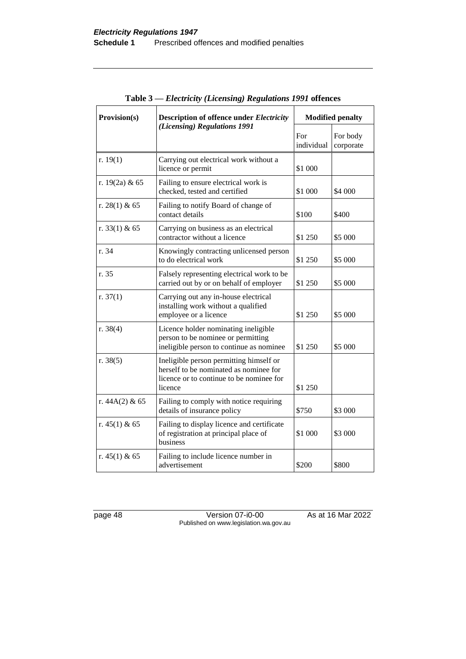| Provision(s)     | <b>Description of offence under Electricity</b><br>(Licensing) Regulations 1991                                                          | <b>Modified penalty</b> |                       |
|------------------|------------------------------------------------------------------------------------------------------------------------------------------|-------------------------|-----------------------|
|                  |                                                                                                                                          | For<br>individual       | For body<br>corporate |
| r. $19(1)$       | Carrying out electrical work without a<br>licence or permit                                                                              | \$1 000                 |                       |
| r. $19(2a)$ & 65 | Failing to ensure electrical work is<br>checked, tested and certified                                                                    | \$1 000                 | \$4 000               |
| r. 28(1) & 65    | Failing to notify Board of change of<br>contact details                                                                                  | \$100                   | \$400                 |
| r. 33(1) & 65    | Carrying on business as an electrical<br>contractor without a licence                                                                    | \$1 250                 | \$5 000               |
| r. 34            | Knowingly contracting unlicensed person<br>to do electrical work                                                                         | \$1 250                 | \$5 000               |
| r. 35            | Falsely representing electrical work to be<br>carried out by or on behalf of employer                                                    | \$1 250                 | \$5 000               |
| r. $37(1)$       | Carrying out any in-house electrical<br>installing work without a qualified<br>employee or a licence                                     | \$1 250                 | \$5 000               |
| r. $38(4)$       | Licence holder nominating ineligible<br>person to be nominee or permitting<br>ineligible person to continue as nominee                   | \$1 250                 | \$5 000               |
| r. 38(5)         | Ineligible person permitting himself or<br>herself to be nominated as nominee for<br>licence or to continue to be nominee for<br>licence | \$1 250                 |                       |
| r. $44A(2)$ & 65 | Failing to comply with notice requiring<br>details of insurance policy                                                                   | \$750                   | \$3 000               |
| r. $45(1)$ & 65  | Failing to display licence and certificate<br>of registration at principal place of<br>business                                          | \$1 000                 | \$3 000               |
| r. $45(1)$ & 65  | Failing to include licence number in<br>advertisement                                                                                    | \$200                   | \$800                 |

**Table 3 —** *Electricity (Licensing) Regulations 1991* **offences**

page 48 Version 07-i0-00 As at 16 Mar 2022 Published on www.legislation.wa.gov.au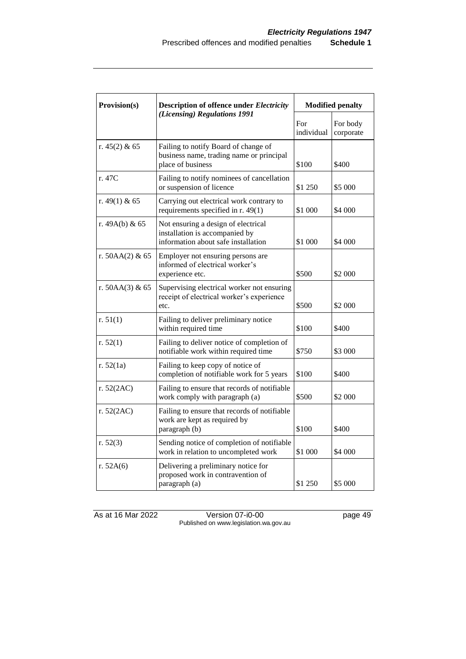| Provision(s)      | <b>Description of offence under Electricity</b><br>(Licensing) Regulations 1991                              | <b>Modified penalty</b> |                       |
|-------------------|--------------------------------------------------------------------------------------------------------------|-------------------------|-----------------------|
|                   |                                                                                                              | For<br>individual       | For body<br>corporate |
| r. $45(2)$ & 65   | Failing to notify Board of change of<br>business name, trading name or principal<br>place of business        | \$100                   | \$400                 |
| r. 47C            | Failing to notify nominees of cancellation<br>or suspension of licence                                       | \$1 250                 | \$5 000               |
| r. 49(1) & 65     | Carrying out electrical work contrary to<br>requirements specified in r. 49(1)                               | \$1 000                 | \$4 000               |
| r. $49A(b)$ & 65  | Not ensuring a design of electrical<br>installation is accompanied by<br>information about safe installation | \$1 000                 | \$4 000               |
| r. $50AA(2)$ & 65 | Employer not ensuring persons are<br>informed of electrical worker's<br>experience etc.                      | \$500                   | \$2 000               |
| r. 50AA(3) & 65   | Supervising electrical worker not ensuring<br>receipt of electrical worker's experience<br>etc.              | \$500                   | \$2 000               |
| r. $51(1)$        | Failing to deliver preliminary notice<br>within required time                                                | \$100                   | \$400                 |
| r. $52(1)$        | Failing to deliver notice of completion of<br>notifiable work within required time                           | \$750                   | \$3 000               |
| r. $52(1a)$       | Failing to keep copy of notice of<br>completion of notifiable work for 5 years                               | \$100                   | \$400                 |
| r. 52(2AC)        | Failing to ensure that records of notifiable<br>work comply with paragraph (a)                               | \$500                   | \$2 000               |
| r. 52(2AC)        | Failing to ensure that records of notifiable<br>work are kept as required by<br>paragraph (b)                | \$100                   | \$400                 |
| r. $52(3)$        | Sending notice of completion of notifiable<br>work in relation to uncompleted work                           | \$1 000                 | \$4 000               |
| r. 52A(6)         | Delivering a preliminary notice for<br>proposed work in contravention of<br>paragraph (a)                    | \$1 250                 | \$5 000               |

As at 16 Mar 2022 Version 07-i0-00 page 49 Published on www.legislation.wa.gov.au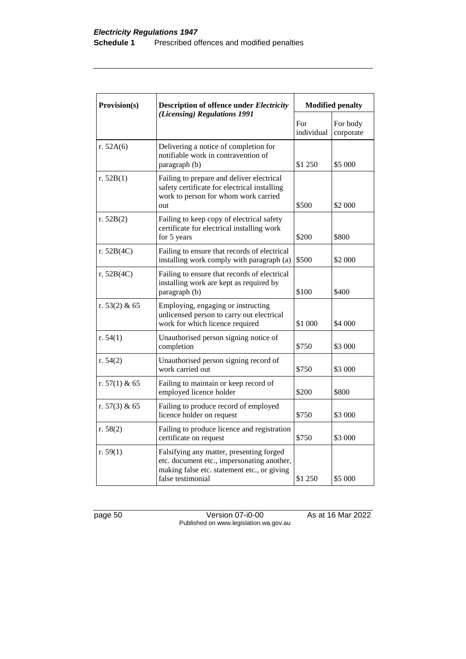| Provision(s)    | <b>Description of offence under Electricity</b><br>(Licensing) Regulations 1991                                                                            | <b>Modified penalty</b> |                       |
|-----------------|------------------------------------------------------------------------------------------------------------------------------------------------------------|-------------------------|-----------------------|
|                 |                                                                                                                                                            | For<br>individual       | For body<br>corporate |
| r. $52A(6)$     | Delivering a notice of completion for<br>notifiable work in contravention of<br>paragraph (b)                                                              | \$1 250                 | \$5 000               |
| r. 52B(1)       | Failing to prepare and deliver electrical<br>safety certificate for electrical installing<br>work to person for whom work carried<br>out                   | \$500                   | \$2 000               |
| r. 52B(2)       | Failing to keep copy of electrical safety<br>certificate for electrical installing work<br>for 5 years                                                     | \$200                   | \$800                 |
| r. 52B(4C)      | Failing to ensure that records of electrical<br>installing work comply with paragraph (a)                                                                  | \$500                   | \$2 000               |
| r. 52B(4C)      | Failing to ensure that records of electrical<br>installing work are kept as required by<br>paragraph (b)                                                   | \$100                   | \$400                 |
| r. $53(2)$ & 65 | Employing, engaging or instructing<br>unlicensed person to carry out electrical<br>work for which licence required                                         | \$1 000                 | \$4 000               |
| r. $54(1)$      | Unauthorised person signing notice of<br>completion                                                                                                        | \$750                   | \$3 000               |
| r. $54(2)$      | Unauthorised person signing record of<br>work carried out                                                                                                  | \$750                   | \$3 000               |
| r. $57(1)$ & 65 | Failing to maintain or keep record of<br>employed licence holder                                                                                           | \$200                   | \$800                 |
| r. $57(3)$ & 65 | Failing to produce record of employed<br>licence holder on request                                                                                         | \$750                   | \$3 000               |
| r. $58(2)$      | Failing to produce licence and registration<br>certificate on request                                                                                      | \$750                   | \$3 000               |
| r. $59(1)$      | Falsifying any matter, presenting forged<br>etc. document etc., impersonating another,<br>making false etc. statement etc., or giving<br>false testimonial | \$1 250                 | \$5 000               |

page 50 Version 07-i0-00 As at 16 Mar 2022 Published on www.legislation.wa.gov.au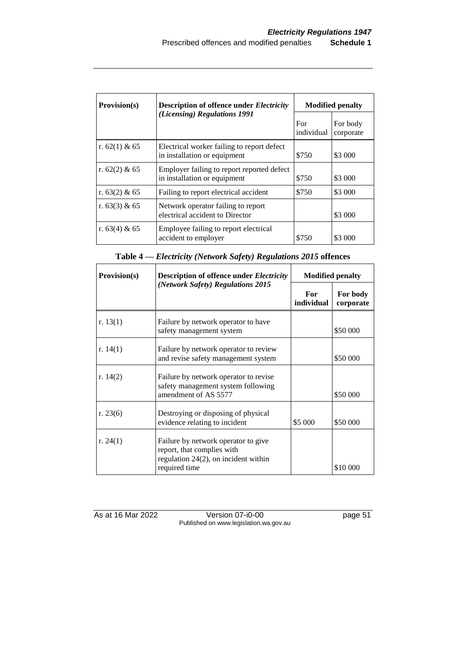| Provision(s)    | <b>Description of offence under Electricity</b>                            | <b>Modified penalty</b> |                       |
|-----------------|----------------------------------------------------------------------------|-------------------------|-----------------------|
|                 | (Licensing) Regulations 1991                                               | For<br>individual       | For body<br>corporate |
| r. $62(1)$ & 65 | Electrical worker failing to report defect<br>in installation or equipment | \$750                   | \$3 000               |
| r. $62(2)$ & 65 | Employer failing to report reported defect<br>in installation or equipment | \$750                   | \$3 000               |
| r. $63(2)$ & 65 | Failing to report electrical accident                                      | \$750                   | \$3 000               |
| r. $63(3)$ & 65 | Network operator failing to report<br>electrical accident to Director      |                         | \$3 000               |
| r. 63(4) & 65   | Employee failing to report electrical<br>accident to employer              | \$750                   | \$3 000               |

| <b>Provision(s)</b> | <b>Description of offence under Electricity</b>                                                                               |                     | <b>Modified penalty</b> |
|---------------------|-------------------------------------------------------------------------------------------------------------------------------|---------------------|-------------------------|
|                     | (Network Safety) Regulations 2015                                                                                             | For -<br>individual | For body<br>corporate   |
| r. $13(1)$          | Failure by network operator to have<br>safety management system                                                               |                     | \$50 000                |
| r. $14(1)$          | Failure by network operator to review<br>and revise safety management system                                                  |                     | \$50 000                |
| r. $14(2)$          | Failure by network operator to revise<br>safety management system following<br>amendment of AS 5577                           |                     | \$50 000                |
| r. $23(6)$          | Destroying or disposing of physical<br>evidence relating to incident                                                          | \$5 000             | \$50 000                |
| r. $24(1)$          | Failure by network operator to give<br>report, that complies with<br>regulation $24(2)$ , on incident within<br>required time |                     | \$10 000                |

As at 16 Mar 2022 Version 07-i0-00 page 51 Published on www.legislation.wa.gov.au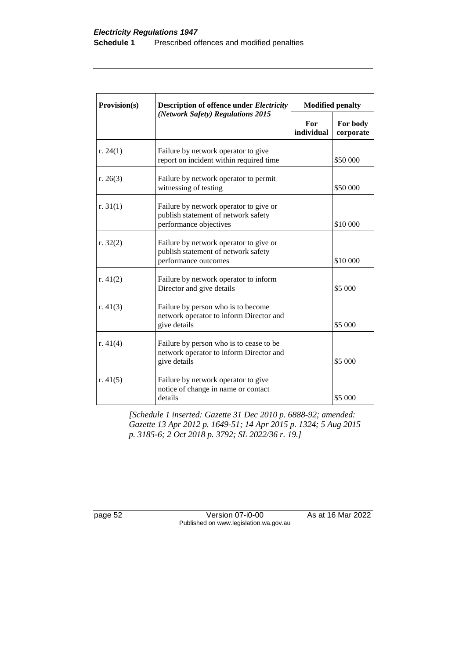| Provision(s) | <b>Description of offence under Electricity</b>                                                         | <b>Modified penalty</b> |                       |
|--------------|---------------------------------------------------------------------------------------------------------|-------------------------|-----------------------|
|              | (Network Safety) Regulations 2015                                                                       | For<br>individual       | For body<br>corporate |
| r. $24(1)$   | Failure by network operator to give<br>report on incident within required time                          |                         | \$50 000              |
| r. $26(3)$   | Failure by network operator to permit<br>witnessing of testing                                          |                         | \$50 000              |
| r. $31(1)$   | Failure by network operator to give or<br>publish statement of network safety<br>performance objectives |                         | \$10 000              |
| r. $32(2)$   | Failure by network operator to give or<br>publish statement of network safety<br>performance outcomes   |                         | \$10 000              |
| r. $41(2)$   | Failure by network operator to inform<br>Director and give details                                      |                         | \$5 000               |
| r. 41(3)     | Failure by person who is to become<br>network operator to inform Director and<br>give details           |                         | \$5 000               |
| r. $41(4)$   | Failure by person who is to cease to be<br>network operator to inform Director and<br>give details      |                         | \$5 000               |
| r. $41(5)$   | Failure by network operator to give<br>notice of change in name or contact<br>details                   |                         | \$5 000               |

*[Schedule 1 inserted: Gazette 31 Dec 2010 p. 6888-92; amended: Gazette 13 Apr 2012 p. 1649-51; 14 Apr 2015 p. 1324; 5 Aug 2015 p. 3185-6; 2 Oct 2018 p. 3792; SL 2022/36 r. 19.]* 

page 52 Version 07-i0-00 As at 16 Mar 2022 Published on www.legislation.wa.gov.au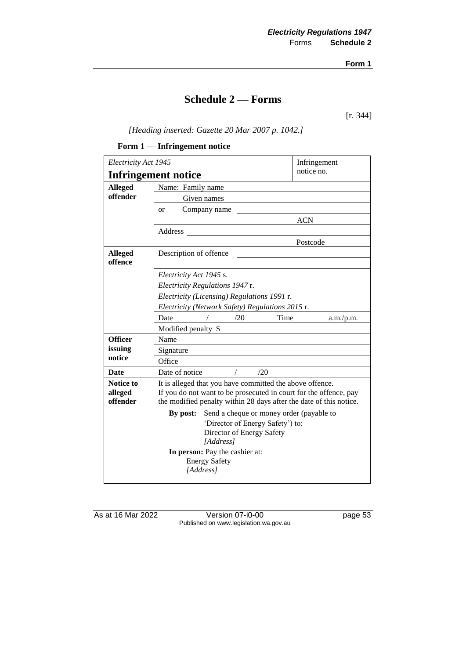**Form 1**

# **Schedule 2 — Forms**

[r. 344]

*[Heading inserted: Gazette 20 Mar 2007 p. 1042.]*

#### **Form 1 — Infringement notice**

| Electricity Act 1945                     |                                                                    | Infringement |  |  |
|------------------------------------------|--------------------------------------------------------------------|--------------|--|--|
| notice no.<br><b>Infringement notice</b> |                                                                    |              |  |  |
| <b>Alleged</b>                           | Name: Family name                                                  |              |  |  |
| offender                                 | Given names                                                        |              |  |  |
|                                          | Company name<br><b>or</b>                                          |              |  |  |
|                                          |                                                                    | <b>ACN</b>   |  |  |
|                                          | Address                                                            |              |  |  |
|                                          |                                                                    | Postcode     |  |  |
| <b>Alleged</b>                           | Description of offence                                             |              |  |  |
| offence                                  |                                                                    |              |  |  |
|                                          | Electricity Act 1945 s.                                            |              |  |  |
|                                          | Electricity Regulations 1947 r.                                    |              |  |  |
|                                          | Electricity (Licensing) Regulations 1991 r.                        |              |  |  |
|                                          | Electricity (Network Safety) Regulations 2015 r.                   |              |  |  |
|                                          | Time<br>Date<br>/20                                                | a.m./p.m.    |  |  |
|                                          | Modified penalty \$                                                |              |  |  |
| <b>Officer</b>                           | Name                                                               |              |  |  |
| issuing                                  | Signature                                                          |              |  |  |
| notice                                   | Office                                                             |              |  |  |
| <b>Date</b>                              | Date of notice<br>/20                                              |              |  |  |
| <b>Notice to</b>                         | It is alleged that you have committed the above offence.           |              |  |  |
| alleged                                  | If you do not want to be prosecuted in court for the offence, pay  |              |  |  |
| offender                                 | the modified penalty within 28 days after the date of this notice. |              |  |  |
|                                          | Send a cheque or money order (payable to<br>By post:               |              |  |  |
|                                          | 'Director of Energy Safety') to:                                   |              |  |  |
|                                          | Director of Energy Safety<br>[Address]                             |              |  |  |
|                                          | In person: Pay the cashier at:                                     |              |  |  |
|                                          | <b>Energy Safety</b>                                               |              |  |  |
|                                          | [Address]                                                          |              |  |  |
|                                          |                                                                    |              |  |  |

As at 16 Mar 2022 Version 07-i0-00 page 53 Published on www.legislation.wa.gov.au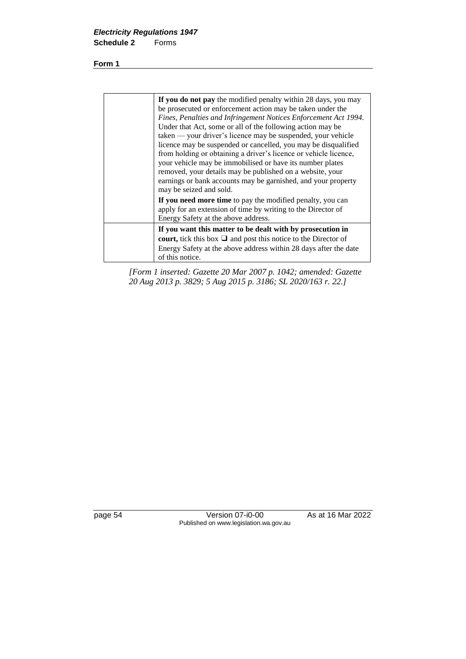**Form 1**

| If you do not pay the modified penalty within 28 days, you may<br>be prosecuted or enforcement action may be taken under the<br>Fines, Penalties and Infringement Notices Enforcement Act 1994.<br>Under that Act, some or all of the following action may be<br>taken — your driver's licence may be suspended, your vehicle<br>licence may be suspended or cancelled, you may be disqualified<br>from holding or obtaining a driver's licence or vehicle licence,<br>your vehicle may be immobilised or have its number plates<br>removed, your details may be published on a website, your<br>earnings or bank accounts may be garnished, and your property<br>may be seized and sold. |
|-------------------------------------------------------------------------------------------------------------------------------------------------------------------------------------------------------------------------------------------------------------------------------------------------------------------------------------------------------------------------------------------------------------------------------------------------------------------------------------------------------------------------------------------------------------------------------------------------------------------------------------------------------------------------------------------|
| If you need more time to pay the modified penalty, you can<br>apply for an extension of time by writing to the Director of<br>Energy Safety at the above address.                                                                                                                                                                                                                                                                                                                                                                                                                                                                                                                         |
| If you want this matter to be dealt with by prosecution in<br>court, tick this box $\Box$ and post this notice to the Director of<br>Energy Safety at the above address within 28 days after the date<br>of this notice.                                                                                                                                                                                                                                                                                                                                                                                                                                                                  |

*[Form 1 inserted: Gazette 20 Mar 2007 p. 1042; amended: Gazette 20 Aug 2013 p. 3829; 5 Aug 2015 p. 3186; SL 2020/163 r. 22.]*

page 54 Version 07-i0-00 As at 16 Mar 2022 Published on www.legislation.wa.gov.au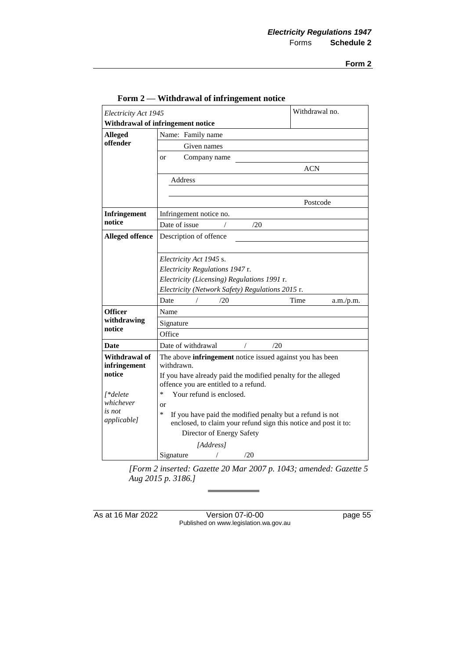**Form 2**

| Electricity Act 1945   |                                                                                                                                                           |     | Withdrawal no.    |
|------------------------|-----------------------------------------------------------------------------------------------------------------------------------------------------------|-----|-------------------|
|                        | Withdrawal of infringement notice                                                                                                                         |     |                   |
| <b>Alleged</b>         | Name: Family name                                                                                                                                         |     |                   |
| offender               | Given names                                                                                                                                               |     |                   |
|                        | Company name<br><sub>or</sub>                                                                                                                             |     |                   |
|                        |                                                                                                                                                           |     | <b>ACN</b>        |
|                        | Address                                                                                                                                                   |     |                   |
|                        |                                                                                                                                                           |     |                   |
|                        |                                                                                                                                                           |     | Postcode          |
| <b>Infringement</b>    | Infringement notice no.                                                                                                                                   |     |                   |
| notice                 | Date of issue                                                                                                                                             | /20 |                   |
| <b>Alleged offence</b> | Description of offence                                                                                                                                    |     |                   |
|                        |                                                                                                                                                           |     |                   |
|                        | Electricity Act 1945 s.                                                                                                                                   |     |                   |
|                        | Electricity Regulations 1947 r.                                                                                                                           |     |                   |
|                        | Electricity (Licensing) Regulations 1991 r.                                                                                                               |     |                   |
|                        | Electricity (Network Safety) Regulations 2015 r.                                                                                                          |     |                   |
|                        | Date<br>/20                                                                                                                                               |     | Time<br>a.m./p.m. |
| Officer                | Name                                                                                                                                                      |     |                   |
| withdrawing            | Signature                                                                                                                                                 |     |                   |
| notice                 | Office                                                                                                                                                    |     |                   |
| Date                   | Date of withdrawal                                                                                                                                        | /20 |                   |
| Withdrawal of          | The above infringement notice issued against you has been                                                                                                 |     |                   |
| infringement           | withdrawn.                                                                                                                                                |     |                   |
| notice                 | If you have already paid the modified penalty for the alleged                                                                                             |     |                   |
|                        | offence you are entitled to a refund.                                                                                                                     |     |                   |
| [*delete<br>whichever  | Your refund is enclosed.<br>∗                                                                                                                             |     |                   |
| is not                 | or<br>*                                                                                                                                                   |     |                   |
| applicable]            | If you have paid the modified penalty but a refund is not<br>enclosed, to claim your refund sign this notice and post it to:<br>Director of Energy Safety |     |                   |
|                        |                                                                                                                                                           |     |                   |
|                        | [Address]                                                                                                                                                 |     |                   |
|                        | Signature                                                                                                                                                 | /20 |                   |

#### **Form 2 — Withdrawal of infringement notice**

*[Form 2 inserted: Gazette 20 Mar 2007 p. 1043; amended: Gazette 5 Aug 2015 p. 3186.]*

As at 16 Mar 2022 Version 07-i0-00 page 55 Published on www.legislation.wa.gov.au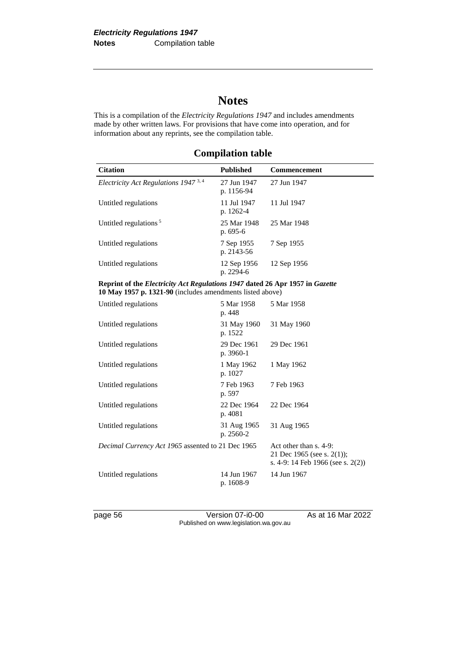# **Notes**

This is a compilation of the *Electricity Regulations 1947* and includes amendments made by other written laws. For provisions that have come into operation, and for information about any reprints, see the compilation table.

| <b>Citation</b>                        | <b>Published</b>          | Commencement |  |
|----------------------------------------|---------------------------|--------------|--|
| Electricity Act Regulations 1947 $3,4$ | 27 Jun 1947<br>p. 1156-94 | 27 Jun 1947  |  |
| Untitled regulations                   | 11 Jul 1947<br>p. 1262-4  | 11 Jul 1947  |  |
| Untitled regulations $5$               | 25 Mar 1948<br>p. $695-6$ | 25 Mar 1948  |  |
| Untitled regulations                   | 7 Sep 1955<br>p. 2143-56  | 7 Sep 1955   |  |
| Untitled regulations                   | 12 Sep 1956<br>p. 2294-6  | 12 Sep 1956  |  |

# **Compilation table**

| Reprint of the <i>Electricity Act Regulations 1947</i> dated 26 Apr 1957 in <i>Gazette</i> |  |
|--------------------------------------------------------------------------------------------|--|
| 10 May 1957 p. 1321-90 (includes amendments listed above)                                  |  |

| Untitled regulations                                     | 5 Mar 1958<br>p. 448     | 5 Mar 1958                                                                                |
|----------------------------------------------------------|--------------------------|-------------------------------------------------------------------------------------------|
| Untitled regulations                                     | 31 May 1960<br>p. 1522   | 31 May 1960                                                                               |
| Untitled regulations                                     | 29 Dec 1961<br>p. 3960-1 | 29 Dec 1961                                                                               |
| Untitled regulations                                     | 1 May 1962<br>p. 1027    | 1 May 1962                                                                                |
| Untitled regulations                                     | 7 Feb 1963<br>p. 597     | 7 Feb 1963                                                                                |
| Untitled regulations                                     | 22 Dec 1964<br>p. 4081   | 22 Dec 1964                                                                               |
| Untitled regulations                                     | 31 Aug 1965<br>p. 2560-2 | 31 Aug 1965                                                                               |
| <i>Decimal Currency Act 1965</i> assented to 21 Dec 1965 |                          | Act other than s. 4-9:<br>21 Dec 1965 (see s. 2(1));<br>s. 4-9: 14 Feb 1966 (see s. 2(2)) |
| Untitled regulations                                     | 14 Jun 1967<br>p. 1608-9 | 14 Jun 1967                                                                               |

page 56 Version 07-i0-00 As at 16 Mar 2022 Published on www.legislation.wa.gov.au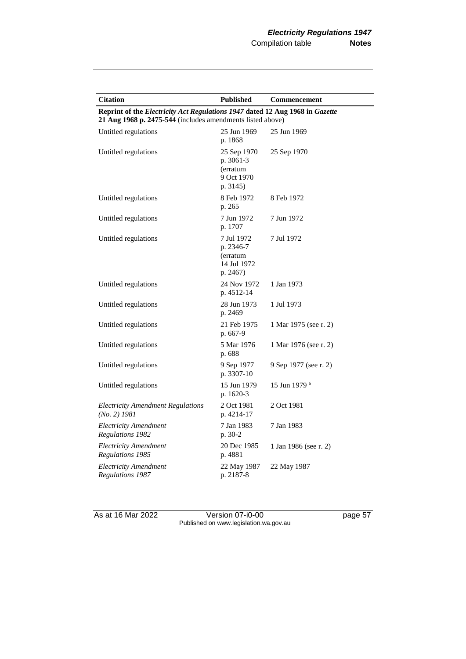| <b>Citation</b>                                                                                                                            | <b>Published</b>                                               | Commencement             |
|--------------------------------------------------------------------------------------------------------------------------------------------|----------------------------------------------------------------|--------------------------|
| Reprint of the Electricity Act Regulations 1947 dated 12 Aug 1968 in Gazette<br>21 Aug 1968 p. 2475-544 (includes amendments listed above) |                                                                |                          |
|                                                                                                                                            |                                                                |                          |
| Untitled regulations                                                                                                                       | 25 Jun 1969<br>p. 1868                                         | 25 Jun 1969              |
| Untitled regulations                                                                                                                       | 25 Sep 1970<br>p. 3061-3<br>(erratum<br>9 Oct 1970<br>p. 3145) | 25 Sep 1970              |
| Untitled regulations                                                                                                                       | 8 Feb 1972<br>p. 265                                           | 8 Feb 1972               |
| Untitled regulations                                                                                                                       | 7 Jun 1972<br>p. 1707                                          | 7 Jun 1972               |
| Untitled regulations                                                                                                                       | 7 Jul 1972<br>p. 2346-7<br>(erratum<br>14 Jul 1972<br>p. 2467) | 7 Jul 1972               |
| Untitled regulations                                                                                                                       | 24 Nov 1972<br>p. 4512-14                                      | 1 Jan 1973               |
| Untitled regulations                                                                                                                       | 28 Jun 1973<br>p. 2469                                         | 1 Jul 1973               |
| Untitled regulations                                                                                                                       | 21 Feb 1975<br>p. 667-9                                        | 1 Mar 1975 (see r. 2)    |
| Untitled regulations                                                                                                                       | 5 Mar 1976<br>p. 688                                           | 1 Mar 1976 (see r. 2)    |
| Untitled regulations                                                                                                                       | 9 Sep 1977<br>p. 3307-10                                       | 9 Sep 1977 (see r. 2)    |
| Untitled regulations                                                                                                                       | 15 Jun 1979<br>p. 1620-3                                       | 15 Jun 1979 <sup>6</sup> |
| <b>Electricity Amendment Regulations</b><br>(No. 2) 1981                                                                                   | 2 Oct 1981<br>p. 4214-17                                       | 2 Oct 1981               |
| <b>Electricity Amendment</b><br>Regulations 1982                                                                                           | 7 Jan 1983<br>p. 30-2                                          | 7 Jan 1983               |
| <b>Electricity Amendment</b><br>Regulations 1985                                                                                           | 20 Dec 1985<br>p. 4881                                         | 1 Jan 1986 (see r. 2)    |
| <b>Electricity Amendment</b><br>Regulations 1987                                                                                           | 22 May 1987<br>p. 2187-8                                       | 22 May 1987              |

As at 16 Mar 2022 Version 07-i0-00 page 57 Published on www.legislation.wa.gov.au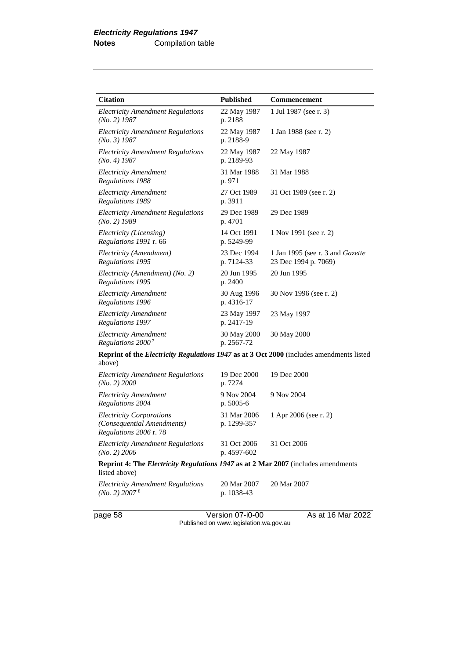| <b>Citation</b>                                                                                           | <b>Published</b>           | <b>Commencement</b>                                      |
|-----------------------------------------------------------------------------------------------------------|----------------------------|----------------------------------------------------------|
| <b>Electricity Amendment Regulations</b><br>$(No. 2)$ 1987                                                | 22 May 1987<br>p. 2188     | 1 Jul 1987 (see r. 3)                                    |
| <b>Electricity Amendment Regulations</b><br>$(No. 3)$ 1987                                                | 22 May 1987<br>p. 2188-9   | 1 Jan 1988 (see r. 2)                                    |
| <b>Electricity Amendment Regulations</b><br>$(No. 4)$ 1987                                                | 22 May 1987<br>p. 2189-93  | 22 May 1987                                              |
| <b>Electricity Amendment</b><br><b>Regulations 1988</b>                                                   | 31 Mar 1988<br>p. 971      | 31 Mar 1988                                              |
| <b>Electricity Amendment</b><br><b>Regulations 1989</b>                                                   | 27 Oct 1989<br>p. 3911     | 31 Oct 1989 (see r. 2)                                   |
| <b>Electricity Amendment Regulations</b><br>$(No. 2)$ 1989                                                | 29 Dec 1989<br>p. 4701     | 29 Dec 1989                                              |
| Electricity (Licensing)<br>Regulations 1991 r. 66                                                         | 14 Oct 1991<br>p. 5249-99  | 1 Nov 1991 (see r. 2)                                    |
| Electricity (Amendment)<br>Regulations 1995                                                               | 23 Dec 1994<br>p. 7124-33  | 1 Jan 1995 (see r. 3 and Gazette<br>23 Dec 1994 p. 7069) |
| Electricity (Amendment) (No. 2)<br>Regulations 1995                                                       | 20 Jun 1995<br>p. 2400     | 20 Jun 1995                                              |
| <b>Electricity Amendment</b><br>Regulations 1996                                                          | 30 Aug 1996<br>p. 4316-17  | 30 Nov 1996 (see r. 2)                                   |
| <b>Electricity Amendment</b><br>Regulations 1997                                                          | 23 May 1997<br>p. 2417-19  | 23 May 1997                                              |
| <b>Electricity Amendment</b><br>Regulations 2000 <sup>7</sup>                                             | 30 May 2000<br>p. 2567-72  | 30 May 2000                                              |
| Reprint of the <i>Electricity Regulations 1947</i> as at 3 Oct 2000 (includes amendments listed<br>above) |                            |                                                          |
| <b>Electricity Amendment Regulations</b><br>(No. 2) 2000                                                  | 19 Dec 2000<br>p. 7274     | 19 Dec 2000                                              |
| <b>Electricity Amendment</b><br>Regulations 2004                                                          | 9 Nov 2004<br>p. 5005-6    | 9 Nov 2004                                               |
| <b>Electricity Corporations</b><br>(Consequential Amendments)<br>Regulations 2006 r. 78                   | 31 Mar 2006<br>p. 1299-357 | 1 Apr 2006 (see r. 2)                                    |
| <b>Electricity Amendment Regulations</b><br>(No. 2) 2006                                                  | 31 Oct 2006<br>p. 4597-602 | 31 Oct 2006                                              |

#### **Reprint 4: The** *Electricity Regulations 1947* **as at 2 Mar 2007** (includes amendments listed above)

| Electricity Amendment Regulations | 20 Mar 2007 | 20 Mar 2007 |
|-----------------------------------|-------------|-------------|
| (No. 2) 2007 <sup>8</sup>         | p. 1038-43  |             |

page 58 Version 07-i0-00 As at 16 Mar 2022 Published on www.legislation.wa.gov.au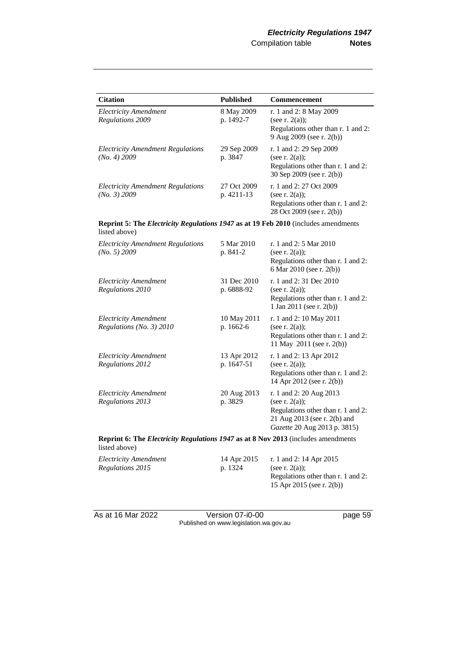| <b>Citation</b>                                                                                     | <b>Published</b>          | Commencement                                                                                                                                       |  |  |
|-----------------------------------------------------------------------------------------------------|---------------------------|----------------------------------------------------------------------------------------------------------------------------------------------------|--|--|
| <b>Electricity Amendment</b><br>Regulations 2009                                                    | 8 May 2009<br>p. 1492-7   | r. 1 and 2: 8 May 2009<br>(see r. $2(a)$ );<br>Regulations other than r. 1 and 2:<br>9 Aug 2009 (see r. 2(b))                                      |  |  |
| <b>Electricity Amendment Regulations</b><br>(No. 4) 2009                                            | 29 Sep 2009<br>p. 3847    | r. 1 and 2: 29 Sep 2009<br>(see r. $2(a)$ );<br>Regulations other than r. 1 and 2:<br>30 Sep 2009 (see r. 2(b))                                    |  |  |
| <b>Electricity Amendment Regulations</b><br>(No. 3) 2009                                            | 27 Oct 2009<br>p. 4211-13 | r. 1 and 2: 27 Oct 2009<br>(see $r. 2(a)$ );<br>Regulations other than r. 1 and 2:<br>28 Oct 2009 (see r. 2(b))                                    |  |  |
| Reprint 5: The Electricity Regulations 1947 as at 19 Feb 2010 (includes amendments<br>listed above) |                           |                                                                                                                                                    |  |  |
| <b>Electricity Amendment Regulations</b><br>(No. 5) 2009                                            | 5 Mar 2010<br>p. 841-2    | r. 1 and 2: 5 Mar 2010<br>(see $r. 2(a)$ );<br>Regulations other than r. 1 and 2:<br>6 Mar 2010 (see r. 2(b))                                      |  |  |
| <b>Electricity Amendment</b><br>Regulations 2010                                                    | 31 Dec 2010<br>p. 6888-92 | r. 1 and 2:31 Dec 2010<br>(see $r. 2(a)$ );<br>Regulations other than r. 1 and 2:<br>1 Jan 2011 (see r. 2(b))                                      |  |  |
| <i><b>Electricity Amendment</b></i><br>Regulations (No. 3) 2010                                     | 10 May 2011<br>p. 1662-6  | r. 1 and 2: 10 May 2011<br>(see $r. 2(a)$ );<br>Regulations other than r. 1 and 2:<br>11 May 2011 (see r. 2(b))                                    |  |  |
| <b>Electricity Amendment</b><br>Regulations 2012                                                    | 13 Apr 2012<br>p. 1647-51 | r. 1 and 2: 13 Apr 2012<br>(see r. $2(a)$ );<br>Regulations other than r. 1 and 2:<br>14 Apr 2012 (see r. 2(b))                                    |  |  |
| <b>Electricity Amendment</b><br>Regulations 2013                                                    | 20 Aug 2013<br>p. 3829    | r. 1 and 2: 20 Aug 2013<br>(see r. $2(a)$ );<br>Regulations other than r. 1 and 2:<br>21 Aug 2013 (see r. 2(b) and<br>Gazette 20 Aug 2013 p. 3815) |  |  |
| Reprint 6: The Electricity Regulations 1947 as at 8 Nov 2013 (includes amendments<br>listed above)  |                           |                                                                                                                                                    |  |  |
| <b>Electricity Amendment</b><br>Regulations 2015                                                    | 14 Apr 2015<br>p. 1324    | r. 1 and 2: 14 Apr 2015<br>(see r. $2(a)$ );<br>Regulations other than r. 1 and 2:<br>15 Apr 2015 (see r. 2(b))                                    |  |  |

As at 16 Mar 2022 Version 07-i0-00 page 59 Published on www.legislation.wa.gov.au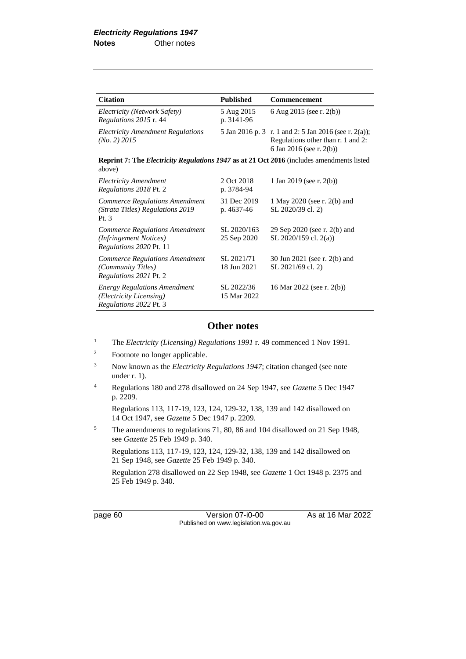| <b>Citation</b>                                                                                            | <b>Published</b>           | Commencement                                                                                                            |
|------------------------------------------------------------------------------------------------------------|----------------------------|-------------------------------------------------------------------------------------------------------------------------|
| Electricity (Network Safety)<br>Regulations 2015 r. 44                                                     | 5 Aug 2015<br>p. 3141-96   | 6 Aug 2015 (see r. 2(b))                                                                                                |
| <b>Electricity Amendment Regulations</b><br>$(No. 2)$ 2015                                                 |                            | 5 Jan 2016 p. 3 r. 1 and 2: 5 Jan 2016 (see r. 2(a));<br>Regulations other than r. 1 and 2:<br>6 Jan 2016 (see r. 2(b)) |
| <b>Reprint 7: The Electricity Regulations 1947 as at 21 Oct 2016</b> (includes amendments listed<br>above) |                            |                                                                                                                         |
| <b>Electricity Amendment</b><br>Regulations 2018 Pt. 2                                                     | 2 Oct 2018<br>p. 3784-94   | 1 Jan 2019 (see r. 2(b))                                                                                                |
| <b>Commerce Regulations Amendment</b><br>(Strata Titles) Regulations 2019<br>Pt. 3                         | 31 Dec 2019<br>p. 4637-46  | 1 May 2020 (see r. 2(b) and<br>SL 2020/39 cl. 2)                                                                        |
| <b>Commerce Regulations Amendment</b><br>(Infringement Notices)<br>Regulations 2020 Pt. 11                 | SL 2020/163<br>25 Sep 2020 | 29 Sep 2020 (see r. 2(b) and<br>SL 2020/159 cl. 2(a))                                                                   |
| <b>Commerce Regulations Amendment</b><br>(Community Titles)<br>Regulations 2021 Pt. 2                      | SL 2021/71<br>18 Jun 2021  | 30 Jun 2021 (see r. 2(b) and<br>SL 2021/69 cl. 2)                                                                       |
| <b>Energy Regulations Amendment</b><br>(Electricity Licensing)<br>Regulations 2022 Pt. 3                   | SL 2022/36<br>15 Mar 2022  | 16 Mar 2022 (see r. 2(b))                                                                                               |

### **Other notes**

- <sup>1</sup> The *Electricity (Licensing) Regulations 1991* r. 49 commenced 1 Nov 1991.
- <sup>2</sup> Footnote no longer applicable.
- <sup>3</sup> Now known as the *Electricity Regulations 1947*; citation changed (see note under r. 1).
- <sup>4</sup> Regulations 180 and 278 disallowed on 24 Sep 1947, see *Gazette* 5 Dec 1947 p. 2209.

Regulations 113, 117-19, 123, 124, 129-32, 138, 139 and 142 disallowed on 14 Oct 1947, see *Gazette* 5 Dec 1947 p. 2209.

<sup>5</sup> The amendments to regulations 71, 80, 86 and 104 disallowed on 21 Sep 1948, see *Gazette* 25 Feb 1949 p. 340.

Regulations 113, 117-19, 123, 124, 129-32, 138, 139 and 142 disallowed on 21 Sep 1948, see *Gazette* 25 Feb 1949 p. 340.

Regulation 278 disallowed on 22 Sep 1948, see *Gazette* 1 Oct 1948 p. 2375 and 25 Feb 1949 p. 340.

page 60 **Version 07-i0-00** As at 16 Mar 2022 Published on www.legislation.wa.gov.au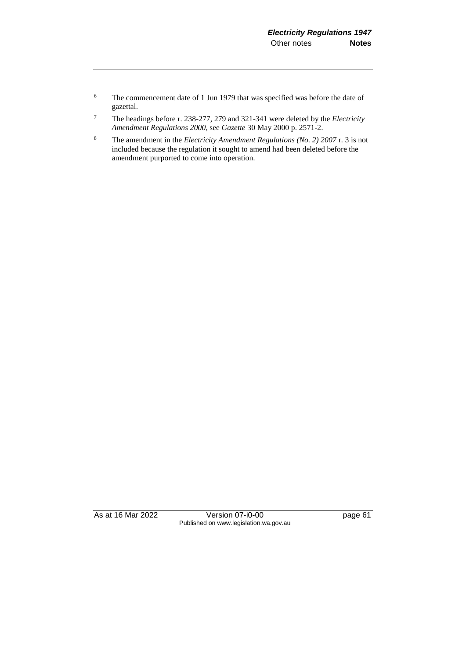- <sup>6</sup> The commencement date of 1 Jun 1979 that was specified was before the date of gazettal.
- <sup>7</sup> The headings before r. 238-277, 279 and 321-341 were deleted by the *Electricity Amendment Regulations 2000*, see *Gazette* 30 May 2000 p. 2571-2.
- <sup>8</sup> The amendment in the *Electricity Amendment Regulations (No. 2) 2007* r. 3 is not included because the regulation it sought to amend had been deleted before the amendment purported to come into operation.

As at 16 Mar 2022 Version 07-i0-00 Page 61 Published on www.legislation.wa.gov.au